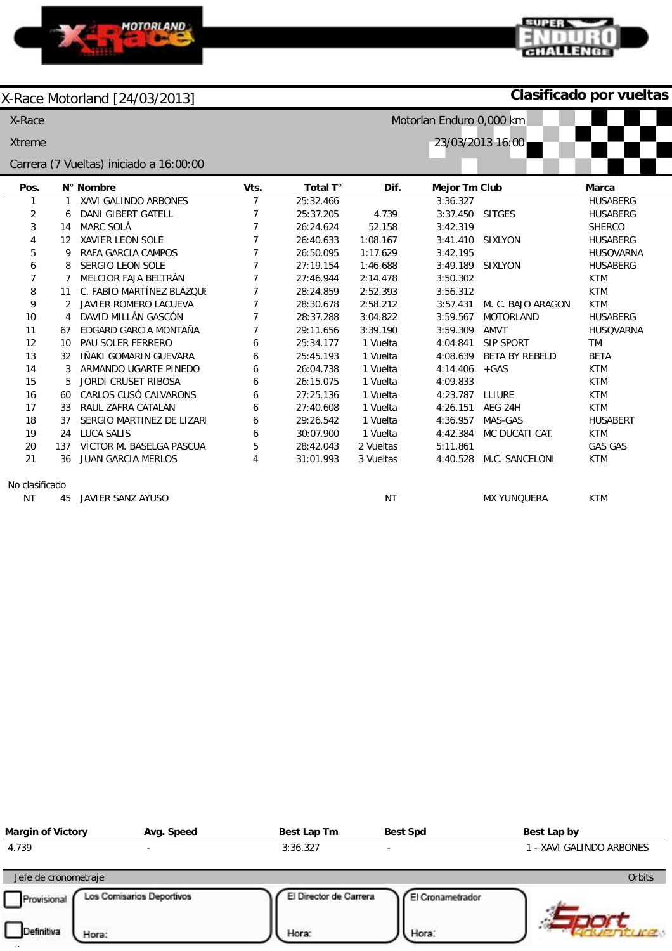

## **Clasificado por vueltas**

CHALLENGE

| X-Race         | Motorlan Enduro 0,000 km          |                                         |                |           |           |                 |                       |                  |
|----------------|-----------------------------------|-----------------------------------------|----------------|-----------|-----------|-----------------|-----------------------|------------------|
|                | 23/03/2013 16:00<br><b>Xtreme</b> |                                         |                |           |           |                 |                       |                  |
|                |                                   | Carrera (7 Vueltas) iniciado a 16:00:00 |                |           |           |                 |                       |                  |
| Pos.           |                                   | N° Nombre                               | Vts.           | Total T°  | Dif.      | Mejor Tm Club   |                       | <b>Marca</b>     |
|                | 1                                 | XAVI GALINDO ARBONES                    | $\overline{7}$ | 25:32.466 |           | 3:36.327        |                       | <b>HUSABERG</b>  |
| 2              | 6                                 | <b>DANI GIBERT GATELL</b>               | 7              | 25:37.205 | 4.739     | 3:37.450 SITGES |                       | <b>HUSABERG</b>  |
| 3              | 14                                | <b>MARC SOLÁ</b>                        | 7              | 26:24.624 | 52.158    | 3:42.319        |                       | <b>SHERCO</b>    |
| 4              | $12 \overline{ }$                 | <b>XAVIER LEON SOLE</b>                 | 7              | 26:40.633 | 1:08.167  | 3:41.410        | <b>SIXLYON</b>        | <b>HUSABERG</b>  |
| 5              | 9                                 | RAFA GARCIA CAMPOS                      | 7              | 26:50.095 | 1:17.629  | 3:42.195        |                       | <b>HUSQVARNA</b> |
| 6              | 8                                 | <b>SERGIO LEON SOLE</b>                 | 7              | 27:19.154 | 1:46.688  | 3:49.189        | <b>SIXLYON</b>        | <b>HUSABERG</b>  |
| 7              | 7                                 | MELCIOR FAJA BELTRÁN                    | 7              | 27:46.944 | 2:14.478  | 3:50.302        |                       | <b>KTM</b>       |
| 8              | 11                                | C. FABIO MARTÍNEZ BLÁZOUI               | 7              | 28:24.859 | 2:52.393  | 3:56.312        |                       | <b>KTM</b>       |
| 9              | 2                                 | <b>JAVIER ROMERO LACUEVA</b>            | 7              | 28:30.678 | 2:58.212  | 3:57.431        | M. C. BAJO ARAGON     | <b>KTM</b>       |
| 10             | 4                                 | DAVID MILLÁN GASCÓN                     | 7              | 28:37.288 | 3:04.822  | 3:59.567        | <b>MOTORLAND</b>      | <b>HUSABERG</b>  |
| 11             | 67                                | EDGARD GARCIA MONTAÑA                   | 7              | 29:11.656 | 3:39.190  | 3:59.309        | AMVT                  | HUSQVARNA        |
| 12             | 10                                | PAU SOLER FERRERO                       | 6              | 25:34.177 | 1 Vuelta  | 4:04.841        | <b>SIP SPORT</b>      | TM               |
| 13             | 32                                | IÑAKI GOMARIN GUEVARA                   | 6              | 25:45.193 | 1 Vuelta  | 4:08.639        | <b>BETA BY REBELD</b> | <b>BETA</b>      |
| 14             | 3                                 | ARMANDO UGARTE PINEDO                   | 6              | 26:04.738 | 1 Vuelta  | 4:14.406        | $+GAS$                | <b>KTM</b>       |
| 15             | 5                                 | <b>JORDI CRUSET RIBOSA</b>              | 6              | 26:15.075 | 1 Vuelta  | 4:09.833        |                       | <b>KTM</b>       |
| 16             | 60                                | CARLOS CUSÓ CALVARONS                   | 6              | 27:25.136 | 1 Vuelta  | 4:23.787        | LLIURE                | <b>KTM</b>       |
| 17             | 33                                | RAUL ZAFRA CATALAN                      | 6              | 27:40.608 | 1 Vuelta  | 4:26.151        | AEG 24H               | <b>KTM</b>       |
| 18             | 37                                | SERGIO MARTINEZ DE LIZARI               | 6              | 29:26.542 | 1 Vuelta  | 4:36.957        | MAS-GAS               | <b>HUSABERT</b>  |
| 19             | 24                                | LUCA SALIS                              | 6              | 30:07.900 | 1 Vuelta  | 4:42.384        | MC DUCATI CAT.        | <b>KTM</b>       |
| 20             | 137                               | VÍCTOR M. BASELGA PASCUA                | 5              | 28:42.043 | 2 Vueltas | 5:11.861        |                       | <b>GAS GAS</b>   |
| 21             | 36                                | <b>JUAN GARCIA MERLOS</b>               | 4              | 31:01.993 | 3 Vueltas | 4:40.528        | M.C. SANCELONI        | <b>KTM</b>       |
| No clasificado |                                   |                                         |                |           |           |                 |                       |                  |
| <b>NT</b>      | 45                                | JAVIER SANZ AYUSO                       |                |           | <b>NT</b> |                 | <b>MX YUNOUERA</b>    | <b>KTM</b>       |

NT

| <b>Margin of Victory</b> | Avg. Speed                | Best Lap Tm            | <b>Best Spd</b>          | Best Lap by              |
|--------------------------|---------------------------|------------------------|--------------------------|--------------------------|
| 4.739                    |                           | 3:36.327               | $\overline{\phantom{0}}$ | 1 - XAVI GALINDO ARBONES |
| Jefe de cronometraje     |                           |                        |                          | Orbits                   |
| Provisional              | Los Comisarios Deportivos | El Director de Carrera | El Cronametrador         |                          |
| Definitiva<br>Hora:      |                           | Hora:                  | Hora:                    |                          |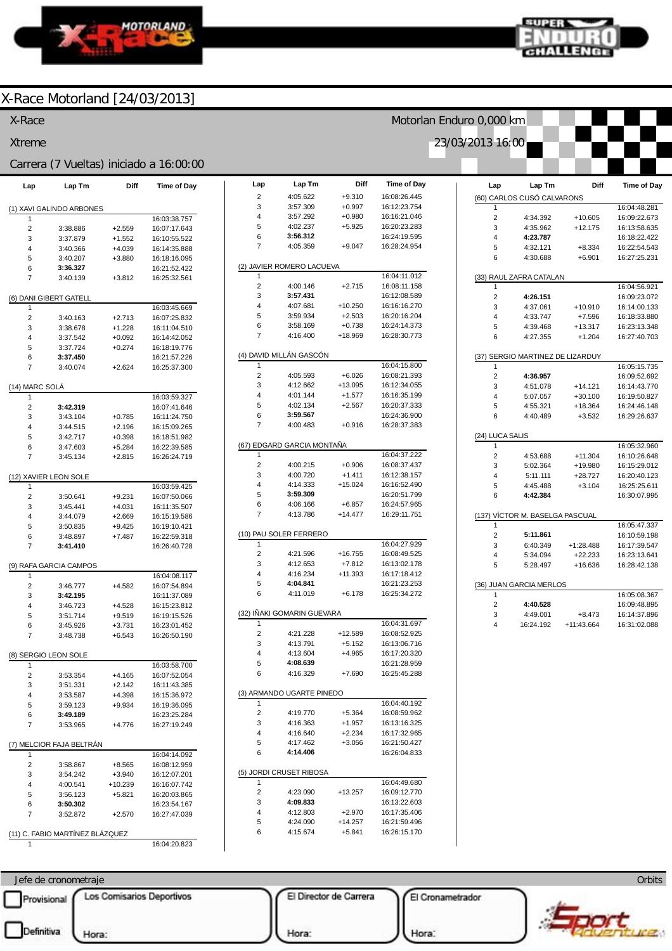



Motorlan Enduro 0,000 km

23/03/2013 16:00

### X-Race Motorland [24/03/2013]

### X-Race

Xtreme Carrera (7 Vueltas) iniciado a 16:00:00

| Lap                      | Lap Tm                          | Diff      | <b>Time of Day</b> |  |  |  |  |
|--------------------------|---------------------------------|-----------|--------------------|--|--|--|--|
| (1) XAVI GALINDO ARBONES |                                 |           |                    |  |  |  |  |
| 1                        |                                 |           | 16:03:38.757       |  |  |  |  |
| 2                        | 3:38.886                        | $+2.559$  | 16:07:17.643       |  |  |  |  |
| 3                        | 3:37.879                        | $+1.552$  | 16:10:55.522       |  |  |  |  |
| 4                        | 3:40.366                        | $+4.039$  | 16:14:35.888       |  |  |  |  |
| 5                        | 3:40.207                        | +3.880    | 16:18:16.095       |  |  |  |  |
| 6                        | 3:36.327                        |           | 16:21:52.422       |  |  |  |  |
| 7                        | 3:40.139                        | $+3.812$  | 16:25:32.561       |  |  |  |  |
|                          | (6) DANI GIBERT GATELL          |           |                    |  |  |  |  |
| 1                        |                                 |           | 16:03:45.669       |  |  |  |  |
| 2                        | 3:40.163                        | $+2.713$  | 16:07:25.832       |  |  |  |  |
| 3                        | 3:38.678                        | $+1.228$  | 16:11:04.510       |  |  |  |  |
| 4                        | 3:37.542                        | $+0.092$  | 16:14:42.052       |  |  |  |  |
| 5                        | 3:37.724                        | $+0.274$  | 16:18:19.776       |  |  |  |  |
| 6                        | 3:37.450                        |           | 16:21:57.226       |  |  |  |  |
| 7                        | 3:40.074                        | $+2.624$  | 16:25:37.300       |  |  |  |  |
| (14) MARC SOLA           |                                 |           |                    |  |  |  |  |
| 1                        |                                 |           | 16:03:59.327       |  |  |  |  |
| $\overline{c}$           | 3:42.319                        |           | 16:07:41.646       |  |  |  |  |
| 3                        | 3:43.104                        | $+0.785$  | 16:11:24.750       |  |  |  |  |
| 4                        | 3:44.515                        | $+2.196$  | 16:15:09.265       |  |  |  |  |
| 5                        | 3:42.717                        | $+0.398$  | 16:18:51.982       |  |  |  |  |
| 6                        | 3:47.603                        | $+5.284$  | 16:22:39.585       |  |  |  |  |
| 7                        | 3:45.134                        | $+2.815$  | 16:26:24.719       |  |  |  |  |
|                          | (12) XAVIER LEON SOLE           |           |                    |  |  |  |  |
| 1                        |                                 |           | 16:03:59.425       |  |  |  |  |
| 2                        | 3:50.641                        | $+9.231$  | 16:07:50.066       |  |  |  |  |
| 3                        | 3:45.441                        | $+4.031$  | 16:11:35.507       |  |  |  |  |
| 4                        | 3:44.079                        | $+2.669$  | 16:15:19.586       |  |  |  |  |
| 5                        | 3:50.835                        | $+9.425$  | 16:19:10.421       |  |  |  |  |
| 6                        | 3:48.897                        | $+7.487$  | 16:22:59.318       |  |  |  |  |
| 7                        | 3:41.410                        |           | 16:26:40.728       |  |  |  |  |
|                          | (9) RAFA GARCIA CAMPOS          |           |                    |  |  |  |  |
| 1                        |                                 |           | 16:04:08.117       |  |  |  |  |
| 2                        | 3:46.777                        | $+4.582$  | 16:07:54.894       |  |  |  |  |
| 3                        | 3:42.195                        |           | 16:11:37.089       |  |  |  |  |
| 4                        | 3:46.723                        | $+4.528$  | 16:15:23.812       |  |  |  |  |
| 5                        | 3:51.714                        | $+9.519$  | 16:19:15.526       |  |  |  |  |
| 6                        | 3:45.926                        | $+3.731$  | 16:23:01.452       |  |  |  |  |
| 7                        | 3:48.738                        | $+6.543$  | 16:26:50.190       |  |  |  |  |
| (8) SERGIO LEON SOLE     |                                 |           |                    |  |  |  |  |
| 1                        |                                 |           | 16:03:58.700       |  |  |  |  |
| 2                        | 3:53.354                        | $+4.165$  | 16:07:52.054       |  |  |  |  |
| 3                        | 3:51.331                        | $+2.142$  | 16:11:43.385       |  |  |  |  |
| 4                        | 3:53.587                        | $+4.398$  | 16:15:36.972       |  |  |  |  |
| 5                        | 3:59.123                        | $+9.934$  | 16:19:36.095       |  |  |  |  |
| 6                        | 3:49.189                        |           | 16:23:25.284       |  |  |  |  |
| 7                        | 3:53.965                        | $+4.776$  | 16:27:19.249       |  |  |  |  |
| (7) MELCIOR FAJA BELTRÁN |                                 |           |                    |  |  |  |  |
| 1                        |                                 |           | 16:04:14.092       |  |  |  |  |
| 2                        | 3:58.867                        | $+8.565$  | 16:08:12.959       |  |  |  |  |
| 3                        | 3:54.242                        | $+3.940$  | 16:12:07.201       |  |  |  |  |
| 4                        | 4:00.541                        | $+10.239$ | 16:16:07.742       |  |  |  |  |
| 5                        | 3:56.123                        | $+5.821$  | 16:20:03.865       |  |  |  |  |
| 6                        | 3:50.302                        |           | 16:23:54.167       |  |  |  |  |
| 7                        | 3:52.872                        | $+2.570$  | 16:27:47.039       |  |  |  |  |
|                          |                                 |           |                    |  |  |  |  |
|                          | (11) C. FABIO MARTÍNEZ BLÁZQUEZ |           |                    |  |  |  |  |

| 16:04:20.823 |
|--------------|

1

| Lap            | Lap Tm                     | Diff                 | <b>Time of Day</b>           |
|----------------|----------------------------|----------------------|------------------------------|
| 2              | 4:05.622                   | $+9.310$             | 16:08:26.445                 |
| 3              | 3:57.309                   | $+0.997$             | 16:12:23.754                 |
| 4              | 3:57.292                   | $+0.980$             | 16:16:21.046                 |
| 5              | 4:02.237                   | $+5.925$             | 16:20:23.283                 |
| 6              | 3:56.312                   |                      | 16:24:19.595                 |
| 7              | 4:05.359                   | $+9.047$             | 16:28:24.954                 |
| 1              | (2) JAVIER ROMERO LACUEVA  |                      | 16:04:11.012                 |
| 2              | 4:00.146                   | $+2.715$             | 16:08:11.158                 |
| 3              | 3:57.431                   |                      | 16:12:08.589                 |
| 4              | 4:07.681                   | $+10.250$            | 16:16:16.270                 |
| 5              | 3:59.934                   | $+2.503$             | 16:20:16.204                 |
| 6              | 3:58.169                   | $+0.738$             | 16:24:14.373                 |
| 7              | 4:16.400                   | +18.969              | 16:28:30.773                 |
|                | (4) DAVID MILLÁN GASCÓN    |                      |                              |
| 1              |                            |                      | 16:04:15.800                 |
| 2              | 4:05.593                   | $+6.026$             | 16:08:21.393                 |
| 3              | 4:12.662                   | $+13.095$            | 16:12:34.055                 |
| 4              | 4:01.144<br>4:02.134       | $+1.577$<br>$+2.567$ | 16:16:35.199<br>16:20:37.333 |
| 5<br>6         | 3:59.567                   |                      | 16:24:36.900                 |
| 7              | 4:00.483                   | $+0.916$             | 16:28:37.383                 |
|                |                            |                      |                              |
| (67)           | EDGARD GARCIA MONTAÑA      |                      |                              |
| 1              |                            |                      | 16:04:37.222                 |
| $\overline{2}$ | 4:00.215                   | $+0.906$             | 16:08:37.437                 |
| 3              | 4:00.720                   | $+1.411$             | 16:12:38.157                 |
| 4<br>5         | 4:14.333<br>3:59.309       | $+15.024$            | 16:16:52.490<br>16:20:51.799 |
| 6              | 4:06.166                   | $+6.857$             | 16:24:57.965                 |
| 7              | 4:13.786                   | $+14.477$            | 16:29:11.751                 |
|                | (10) PAU SOLER FERRERO     |                      |                              |
| 1              |                            |                      | 16:04:27.929                 |
| 2              | 4:21.596                   | $+16.755$            | 16:08:49.525                 |
| 3              | 4:12.653                   | $+7.812$             | 16:13:02.178                 |
| 4              | 4:16.234                   | +11.393              | 16:17:18.412                 |
| 5              | 4:04.841                   |                      | 16:21:23.253                 |
| 6              | 4:11.019                   | $+6.178$             | 16:25:34.272                 |
|                | (32) IÑAKI GOMARIN GUEVARA |                      |                              |
| 1<br>2         | 4:21.228                   | +12.589              | 16:04:31.697<br>16:08:52.925 |
| 3              | 4:13.791                   | $+5.152$             | 16:13:06.716                 |
| 4              | 4:13.604                   | $+4.965$             | 16:17:20.320                 |
| 5              | 4:08.639                   |                      | 16:21:28.959                 |
| 6              | 4:16.329                   | $+7.690$             | 16:25:45.288                 |
|                | (3) ARMANDO UGARTE PINEDO  |                      |                              |
| 1              |                            |                      | 16:04:40.192                 |
| $\overline{c}$ | 4:19.770                   | +5.364               | 16:08:59.962                 |
| 3              | 4:16.363                   | $+1.957$             | 16:13:16.325                 |
| 4              | 4:16.640                   | $+2.234$             | 16:17:32.965                 |
| 5<br>6         | 4:17.462<br>4:14.406       | $+3.056$             | 16:21:50.427<br>16:26:04.833 |
|                |                            |                      |                              |
| 1              | (5) JORDI CRUSET RIBOSA    |                      | 16:04:49.680                 |
| 2              | 4:23.090                   | $+13.257$            | 16:09:12.770                 |
| 3              | 4:09.833                   |                      | 16:13:22.603                 |
| 4              | 4:12.803                   | $+2.970$             | 16:17:35.406                 |
| 5              | 4:24.090                   | $+14.257$            | 16:21:59.496                 |
| 6              | 4:15.674                   | $+5.841$             | 16:26:15.170                 |

| Lap             | Lap Tm                           | Diff                   | <b>Time of Day</b>           |
|-----------------|----------------------------------|------------------------|------------------------------|
|                 | (60) CARLOS CUSÓ CALVARONS       |                        |                              |
| 1               |                                  |                        | 16:04:48.281                 |
| $\overline{2}$  | 4:34.392                         | $+10.605$              | 16:09:22.673                 |
| 3               | 4:35.962                         | $+12.175$              | 16:13:58.635                 |
| 4               | 4:23.787                         |                        | 16:18:22.422                 |
| 5               | 4:32.121                         | $+8.334$               | 16:22:54.543                 |
| 6               | 4:30.688                         | $+6.901$               | 16:27:25.231                 |
|                 | (33) RAUL ZAFRA CATALAN          |                        |                              |
| 1               |                                  |                        | 16:04:56.921                 |
| $\overline{2}$  | 4:26.151                         |                        | 16:09:23.072                 |
| 3               | 4:37.061                         | $+10.910$              | 16:14:00.133                 |
| 4               | 4:33.747                         | $+7.596$               | 16:18:33.880                 |
| 5<br>6          | 4:39.468                         | $+13.317$<br>$+1.204$  | 16:23:13.348<br>16:27:40.703 |
|                 | 4:27.355                         |                        |                              |
|                 | (37) SERGIO MARTINEZ DE LIZARDUY |                        |                              |
| 1               |                                  |                        | 16:05:15.735                 |
| $\overline{2}$  | 4:36.957                         |                        | 16:09:52.692                 |
| 3<br>4          | 4:51.078                         | $+14.121$              | 16:14:43.770                 |
| 5               | 5:07.057<br>4:55.321             | $+30.100$<br>$+18.364$ | 16:19:50.827<br>16:24:46.148 |
| 6               | 4:40.489                         | $+3.532$               | 16:29:26.637                 |
|                 |                                  |                        |                              |
| (24) LUCA SALIS |                                  |                        |                              |
| 1               |                                  |                        | 16:05:32.960                 |
| $\overline{2}$  | 4:53.688                         | $+11.304$              | 16:10:26.648                 |
| 3<br>4          | 5:02.364<br>5:11.111             | +19.980<br>$+28.727$   | 16:15:29.012<br>16:20:40.123 |
| 5               | 4:45.488                         | $+3.104$               | 16:25:25.611                 |
| 6               | 4:42.384                         |                        | 16:30:07.995                 |
|                 |                                  |                        |                              |
|                 | (137) VICTOR M. BASELGA PASCUAL  |                        |                              |
| 1               |                                  |                        | 16:05:47.337                 |
| 2               | 5:11.861                         |                        | 16:10:59.198                 |
| 3               | 6:40.349                         | $+1:28.488$            | 16:17:39.547                 |
| 4<br>5          | 5:34.094                         | $+22.233$              | 16:23:13.641<br>16:28:42.138 |
|                 | 5:28.497                         | $+16.636$              |                              |
|                 | (36) JUAN GARCIA MERLOS          |                        |                              |
| 1               |                                  |                        | 16:05:08.367                 |
| 2               | 4:40.528                         |                        | 16:09:48.895                 |
| 3               | 4:49.001                         | $+8.473$               | 16:14:37.896                 |
| 4               | 16:24.192                        | $+11:43.664$           | 16:31:02.088                 |

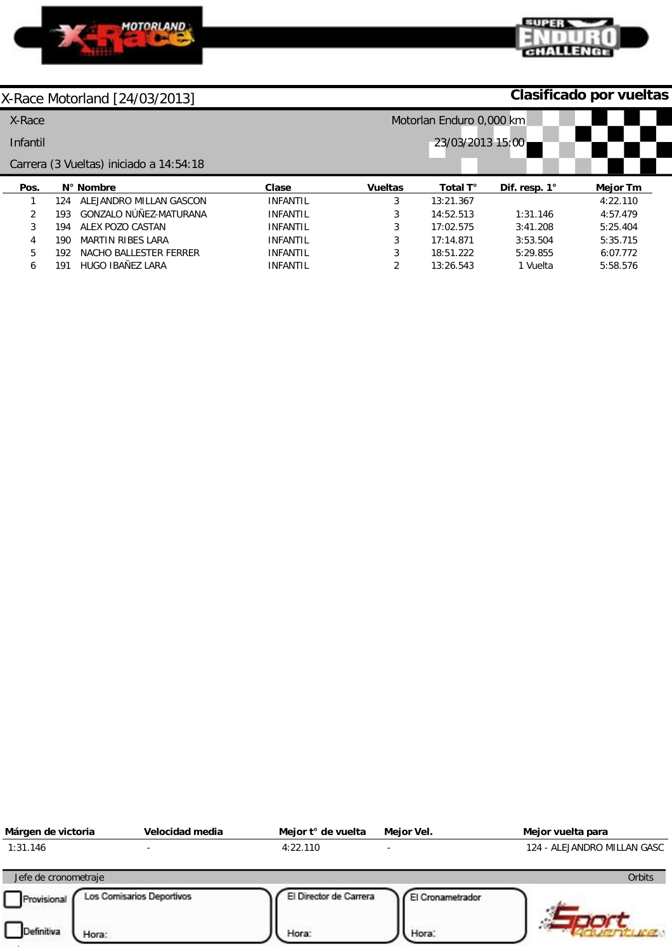



**Clasificado por vueltas**

| X-Race   |     |                                         |                 | Motorlan Enduro 0,000 km |           |                      |          |
|----------|-----|-----------------------------------------|-----------------|--------------------------|-----------|----------------------|----------|
| Infantil |     |                                         |                 | 23/03/2013 15:00         |           |                      |          |
|          |     | Carrera (3 Vueltas) iniciado a 14:54:18 |                 |                          |           |                      |          |
| Pos.     |     | N° Nombre                               | Clase           | <b>Vueltas</b>           | Total T°  | Dif. resp. $1^\circ$ | Mejor Tm |
|          | 124 | ALEJANDRO MILLAN GASCON                 | <b>INFANTIL</b> | 3                        | 13:21.367 |                      | 4:22.110 |
| C.       | 193 | GONZALO NÚÑEZ-MATURANA                  | <b>INFANTIL</b> | 3                        | 14:52.513 | 1:31.146             | 4:57.479 |
| 3        | 194 | ALEX POZO CASTAN                        | <b>INFANTIL</b> | 3                        | 17:02.575 | 3:41.208             | 5:25.404 |
| 4        | 190 | <b>MARTIN RIBES LARA</b>                | <b>INFANTIL</b> | 3                        | 17:14.871 | 3:53.504             | 5:35.715 |
| 5        | 192 | NACHO BALLESTER FERRER                  | <b>INFANTIL</b> | 3                        | 18:51.222 | 5:29.855             | 6:07.772 |
| 6        | 191 | HUGO IBAÑEZ LARA                        | <b>INFANTIL</b> | $\overline{2}$           | 13:26.543 | 1 Vuelta             | 5:58.576 |

| Márgen de victoria   | Velocidad media           | Mejor t° de vuelta     | Mejor Vel.       | Mejor vuelta para           |
|----------------------|---------------------------|------------------------|------------------|-----------------------------|
| 1:31.146             |                           | 4:22.110               |                  | 124 - ALEJANDRO MILLAN GASC |
| Jefe de cronometraje |                           |                        |                  | Orbits                      |
| Provisional          | Los Comisarios Deportivos | El Director de Carrera | El Cronametrador |                             |
| Definitiva<br>Hora:  |                           | Hora:                  | Hora:            |                             |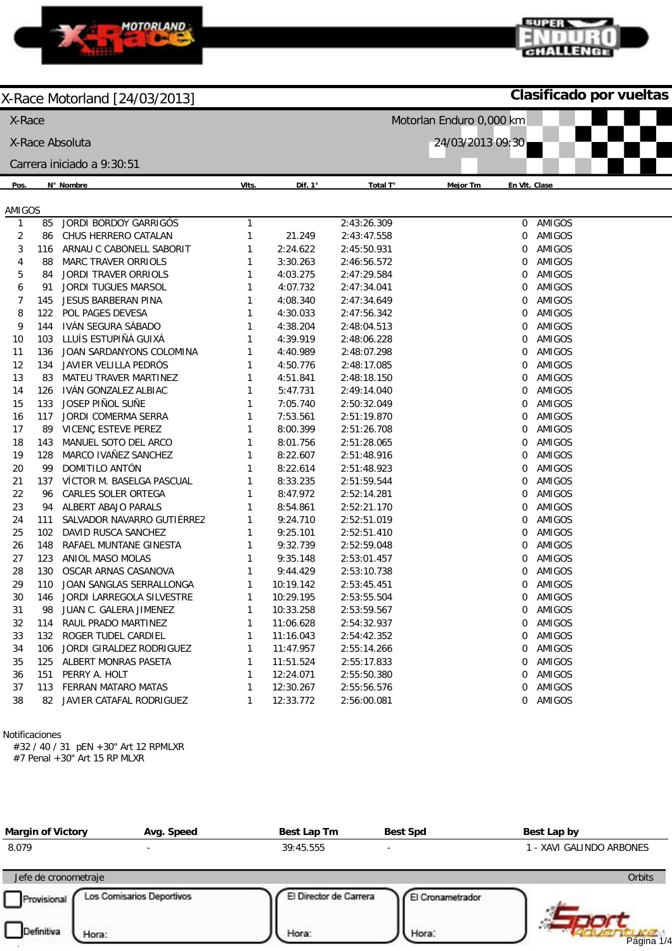

#### **Clasificado por vueltas**

supra

CHALLENGE

| $\frac{1}{2}$ $\frac{1}{2}$ $\frac{1}{2}$ $\frac{1}{2}$ $\frac{1}{2}$ $\frac{1}{2}$ $\frac{1}{2}$ $\frac{1}{2}$ $\frac{1}{2}$ $\frac{1}{2}$<br>X-Race |          |                                                 |              | Motorlan Enduro 0,000 km |                            |                           |                  |  |  |
|-------------------------------------------------------------------------------------------------------------------------------------------------------|----------|-------------------------------------------------|--------------|--------------------------|----------------------------|---------------------------|------------------|--|--|
|                                                                                                                                                       |          | X-Race Absoluta                                 |              |                          |                            | 24/03/2013 09:30          |                  |  |  |
|                                                                                                                                                       |          | Carrera iniciado a 9:30:51                      |              |                          |                            |                           |                  |  |  |
| Pos.                                                                                                                                                  |          | N° Nombre                                       | VIts.        | Dif. 1°                  | Total T°                   | En VIt. Clase<br>Mejor Tm |                  |  |  |
|                                                                                                                                                       |          |                                                 |              |                          |                            |                           |                  |  |  |
| AMIGOS                                                                                                                                                |          |                                                 |              |                          |                            |                           |                  |  |  |
| $\mathbf{1}$                                                                                                                                          | 85       | JORDI BORDOY GARRIGÓS                           | $\mathbf{1}$ |                          | 2:43:26.309                | $\overline{0}$            | AMIGOS           |  |  |
| $\sqrt{2}$                                                                                                                                            | 86       | CHUS HERRERO CATALAN                            | 1            | 21.249                   | 2:43:47.558                | 0                         | AMIGOS<br>AMIGOS |  |  |
| 3<br>4                                                                                                                                                | 116      | ARNAU C CABONELL SABORIT<br>MARC TRAVER ORRIOLS | 1<br>1       | 2:24.622<br>3:30.263     | 2:45:50.931<br>2:46:56.572 | 0<br>0                    | <b>AMIGOS</b>    |  |  |
| 5                                                                                                                                                     | 88       | <b>JORDI TRAVER ORRIOLS</b>                     | 1            | 4:03.275                 | 2:47:29.584                | 0                         | AMIGOS           |  |  |
| 6                                                                                                                                                     | 84<br>91 | JORDI TUGUES MARSOL                             | 1            | 4:07.732                 | 2:47:34.041                | 0                         | AMIGOS           |  |  |
| 7                                                                                                                                                     | 145      | JESUS BARBERAN PINA                             | 1            | 4:08.340                 | 2:47:34.649                | 0                         | AMIGOS           |  |  |
| 8                                                                                                                                                     | 122      | POL PAGES DEVESA                                | 1            | 4:30.033                 | 2:47:56.342                | 0                         | AMIGOS           |  |  |
| 9                                                                                                                                                     | 144      | IVÁN SEGURA SÁBADO                              | 1            | 4:38.204                 | 2:48:04.513                | 0                         | AMIGOS           |  |  |
| 10                                                                                                                                                    | 103      | LLUÍS ESTUPIÑÁ GUIXÁ                            | 1            | 4:39.919                 | 2:48:06.228                | 0                         | AMIGOS           |  |  |
| 11                                                                                                                                                    | 136      | JOAN SARDANYONS COLOMINA                        | 1            | 4:40.989                 | 2:48:07.298                | 0                         | AMIGOS           |  |  |
| 12                                                                                                                                                    | 134      | JAVIER VELILLA PEDRÓS                           | 1            | 4:50.776                 | 2:48:17.085                | 0                         | AMIGOS           |  |  |
| 13                                                                                                                                                    | 83       | MATEU TRAVER MARTINEZ                           | 1            | 4:51.841                 | 2:48:18.150                | 0                         | AMIGOS           |  |  |
| 14                                                                                                                                                    | 126      | IVÁN GONZALEZ ALBIAC                            | 1            | 5:47.731                 | 2:49:14.040                | 0                         | AMIGOS           |  |  |
| 15                                                                                                                                                    | 133      | JOSEP PIÑOL SUÑE                                | 1            | 7:05.740                 | 2:50:32.049                | 0                         | AMIGOS           |  |  |
| 16                                                                                                                                                    | 117      | JORDI COMERMA SERRA                             | 1            | 7:53.561                 | 2:51:19.870                | 0                         | AMIGOS           |  |  |
| 17                                                                                                                                                    | 89       | VICENÇ ESTEVE PEREZ                             | 1            | 8:00.399                 | 2:51:26.708                | 0                         | <b>AMIGOS</b>    |  |  |
| 18                                                                                                                                                    | 143      | MANUEL SOTO DEL ARCO                            | 1            | 8:01.756                 | 2:51:28.065                | 0                         | AMIGOS           |  |  |
| 19                                                                                                                                                    | 128      | MARCO IVAÑEZ SANCHEZ                            | 1            | 8:22.607                 | 2:51:48.916                | 0                         | AMIGOS           |  |  |
| 20                                                                                                                                                    | 99       | DOMITILO ANTÓN                                  | 1            | 8:22.614                 | 2:51:48.923                | 0                         | AMIGOS           |  |  |
| 21                                                                                                                                                    | 137      | VÍCTOR M. BASELGA PASCUAL                       | 1            | 8:33.235                 | 2:51:59.544                | 0                         | AMIGOS           |  |  |
| 22                                                                                                                                                    | 96       | CARLES SOLER ORTEGA                             | 1            | 8:47.972                 | 2:52:14.281                | 0                         | AMIGOS           |  |  |
| 23                                                                                                                                                    | 94       | ALBERT ABAJO PARALS                             | 1            | 8:54.861                 | 2:52:21.170                | 0                         | AMIGOS           |  |  |
| 24                                                                                                                                                    | 111      | SALVADOR NAVARRO GUTIÉRREZ                      | 1            | 9:24.710                 | 2:52:51.019                | 0                         | AMIGOS           |  |  |
| 25                                                                                                                                                    | 102      | DAVID RUSCA SANCHEZ                             | 1            | 9:25.101                 | 2:52:51.410                | 0                         | AMIGOS           |  |  |
| 26                                                                                                                                                    | 148      | RAFAEL MUNTANE GINESTA                          | 1            | 9:32.739                 | 2:52:59.048                | 0                         | <b>AMIGOS</b>    |  |  |
| 27                                                                                                                                                    | 123      | ANIOL MASO MOLAS                                | 1            | 9:35.148                 | 2:53:01.457                | 0                         | AMIGOS           |  |  |
| 28                                                                                                                                                    | 130      | OSCAR ARNAS CASANOVA                            | 1            | 9:44.429                 | 2:53:10.738                | 0                         | AMIGOS           |  |  |
| 29                                                                                                                                                    | 110      | JOAN SANGLAS SERRALLONGA                        | $\mathbf{1}$ | 10:19.142                | 2:53:45.451                | 0                         | AMIGOS           |  |  |
| 30                                                                                                                                                    | 146      | JORDI LARREGOLA SILVESTRE                       | 1            | 10:29.195                | 2:53:55.504                | 0                         | AMIGOS           |  |  |
| 31                                                                                                                                                    |          | 98 JUAN C. GALERA JIMENEZ                       |              | 10:33.258                | 2:53:59.567                |                           | 0 AMIGOS         |  |  |
| 32                                                                                                                                                    | 114      | RAUL PRADO MARTINEZ                             | 1            | 11:06.628                | 2:54:32.937                | 0                         | AMIGOS           |  |  |
| 33                                                                                                                                                    | 132      | ROGER TUDEL CARDIEL                             | 1            | 11:16.043                | 2:54:42.352                |                           | 0 AMIGOS         |  |  |
| 34                                                                                                                                                    | 106      | JORDI GIRALDEZ RODRIGUEZ                        | 1            | 11:47.957                | 2:55:14.266                | 0                         | AMIGOS           |  |  |
| 35                                                                                                                                                    | 125      | ALBERT MONRAS PASETA                            | 1            | 11:51.524                | 2:55:17.833                | 0                         | AMIGOS           |  |  |
| 36                                                                                                                                                    | 151      | PERRY A. HOLT                                   | 1            | 12:24.071                | 2:55:50.380                | 0                         | AMIGOS           |  |  |
| 37                                                                                                                                                    |          | 113 FERRAN MATARO MATAS                         | 1            | 12:30.267                | 2:55:56.576                | 0                         | AMIGOS           |  |  |
| 38                                                                                                                                                    |          | 82 JAVIER CATAFAL RODRIGUEZ                     | 1            | 12:33.772                | 2:56:00.081                |                           | 0 AMIGOS         |  |  |
|                                                                                                                                                       |          |                                                 |              |                          |                            |                           |                  |  |  |

Notificaciones

#32 / 40 / 31 pEN +30" Art 12 RPMLXR #7 Penal +30" Art 15 RP MLXR

| <b>Margin of Victory</b> | Avg. Speed                | Best Lap Tm            | <b>Best Spd</b>  | Best Lap by              |
|--------------------------|---------------------------|------------------------|------------------|--------------------------|
| 8.079                    | -                         | 39:45.555              |                  | I - XAVI GALINDO ARBONES |
| Jefe de cronometraje     |                           |                        |                  | Orbits                   |
| Provisional              | Los Comisarios Deportivos | El Director de Carrera | El Cronametrador |                          |
| Definitiva<br>Hora:      |                           | Hora:                  | Hora:            | Página 1/4               |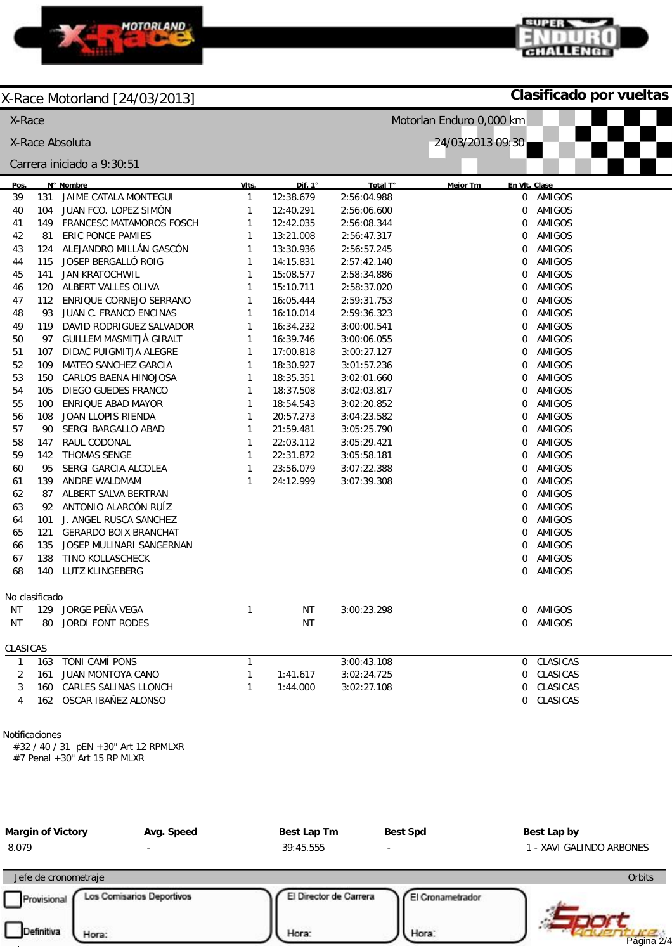

**Clasificado por vueltas**

supra

CHALLENGE

|                                     | Motorlan Enduro 0,000 km<br>X-Race |                                 |              |                |             |                 |               |
|-------------------------------------|------------------------------------|---------------------------------|--------------|----------------|-------------|-----------------|---------------|
| X-Race Absoluta<br>24/03/2013 09:30 |                                    |                                 |              |                |             |                 |               |
|                                     |                                    | Carrera iniciado a 9:30:51      |              |                |             |                 |               |
| Pos.                                |                                    | N° Nombre                       | VIts.        | Dif. $1^\circ$ | Total T°    | <b>Mejor Tm</b> | En VIt. Clase |
| 39                                  | 131                                | JAIME CATALA MONTEGUI           | $\mathbf{1}$ | 12:38.679      | 2:56:04.988 | 0               | AMIGOS        |
| 40                                  | 104                                | JUAN FCO. LOPEZ SIMÓN           | $\mathbf{1}$ | 12:40.291      | 2:56:06.600 | 0               | AMIGOS        |
| 41                                  | 149                                | <b>FRANCESC MATAMOROS FOSCH</b> | 1            | 12:42.035      | 2:56:08.344 | 0               | AMIGOS        |
| 42                                  | 81                                 | <b>ERIC PONCE PAMIES</b>        | 1            | 13:21.008      | 2:56:47.317 | 0               | <b>AMIGOS</b> |
| 43                                  | 124                                | ALEJANDRO MILLÁN GASCÓN         | 1            | 13:30.936      | 2:56:57.245 | 0               | <b>AMIGOS</b> |
| 44                                  | 115                                | JOSEP BERGALLÓ ROIG             | 1            | 14:15.831      | 2:57:42.140 | 0               | AMIGOS        |
| 45                                  | 141                                | <b>JAN KRATOCHWIL</b>           | $\mathbf{1}$ | 15:08.577      | 2:58:34.886 | 0               | AMIGOS        |
| 46                                  | 120                                | ALBERT VALLES OLIVA             | $\mathbf{1}$ | 15:10.711      | 2:58:37.020 | 0               | AMIGOS        |
| 47                                  | 112                                | ENRIQUE CORNEJO SERRANO         | $\mathbf{1}$ | 16:05.444      | 2:59:31.753 | 0               | AMIGOS        |
| 48                                  | 93                                 | JUAN C. FRANCO ENCINAS          | $\mathbf{1}$ | 16:10.014      | 2:59:36.323 | 0               | AMIGOS        |
| 49                                  | 119                                | DAVID RODRIGUEZ SALVADOR        | $\mathbf{1}$ | 16:34.232      | 3:00:00.541 | 0               | AMIGOS        |
| 50                                  | 97                                 | <b>GUILLEM MASMITJÀ GIRALT</b>  | $\mathbf{1}$ | 16:39.746      | 3:00:06.055 | 0               | AMIGOS        |
| 51                                  | 107                                | DIDAC PUIGMITJA ALEGRE          | $\mathbf{1}$ | 17:00.818      | 3:00:27.127 | 0               | AMIGOS        |
| 52                                  | 109                                | MATEO SANCHEZ GARCIA            | $\mathbf{1}$ | 18:30.927      | 3:01:57.236 | 0               | AMIGOS        |
| 53                                  | 150                                | CARLOS BAENA HINOJOSA           | $\mathbf{1}$ | 18:35.351      | 3:02:01.660 | 0               | AMIGOS        |
| 54                                  | 105                                | DIEGO GUEDES FRANCO             | $\mathbf{1}$ | 18:37.508      | 3:02:03.817 | 0               | AMIGOS        |
| 55                                  | 100                                | ENRIQUE ABAD MAYOR              | $\mathbf{1}$ | 18:54.543      | 3:02:20.852 | 0               | AMIGOS        |
| 56                                  | 108                                | JOAN LLOPIS RIENDA              | $\mathbf{1}$ | 20:57.273      | 3:04:23.582 | 0               | AMIGOS        |
| 57                                  | 90                                 | SERGI BARGALLO ABAD             | $\mathbf{1}$ | 21:59.481      | 3:05:25.790 | 0               | AMIGOS        |
| 58                                  | 147                                | RAUL CODONAL                    | $\mathbf{1}$ | 22:03.112      | 3:05:29.421 | 0               | AMIGOS        |
| 59                                  | 142                                | THOMAS SENGE                    | $\mathbf{1}$ | 22:31.872      | 3:05:58.181 | 0               | AMIGOS        |
| 60                                  | 95                                 | SERGI GARCIA ALCOLEA            | $\mathbf{1}$ | 23:56.079      | 3:07:22.388 | 0               | AMIGOS        |
| 61                                  | 139                                | ANDRE WALDMAM                   | $\mathbf{1}$ | 24:12.999      | 3:07:39.308 | 0               | AMIGOS        |
| 62                                  | 87                                 | ALBERT SALVA BERTRAN            |              |                |             | 0               | AMIGOS        |
| 63                                  | 92                                 | ANTONIO ALARCÓN RUÍZ            |              |                |             | 0               | AMIGOS        |
| 64                                  | 101                                | J. ANGEL RUSCA SANCHEZ          |              |                |             | 0               | AMIGOS        |
| 65                                  | 121                                | <b>GERARDO BOIX BRANCHAT</b>    |              |                |             | 0               | AMIGOS        |
| 66                                  | 135                                | JOSEP MULINARI SANGERNAN        |              |                |             | 0               | AMIGOS        |
| 67                                  | 138                                | TINO KOLLASCHECK                |              |                |             | 0               | AMIGOS        |
| 68                                  | 140                                | LUTZ KLINGEBERG                 |              |                |             | 0               | AMIGOS        |
|                                     | No clasificado                     |                                 |              |                |             |                 |               |
|                                     |                                    | NT 129 JORGE PEÑA VEGA          | 1            | ΝT             | 3:00:23.298 |                 | 0 AMIGOS      |
| ΝT                                  |                                    | 80 JORDI FONT RODES             |              | ΝT             |             |                 | 0 AMIGOS      |
| CLASICAS                            |                                    |                                 |              |                |             |                 |               |
| 1                                   |                                    | 163 TONI CAMÍ PONS              | 1            |                | 3:00:43.108 |                 | 0 CLASICAS    |
| 2                                   |                                    | 161 JUAN MONTOYA CANO           | 1            | 1:41.617       | 3:02:24.725 |                 | 0 CLASICAS    |
| 3                                   |                                    | 160 CARLES SALINAS LLONCH       | 1            | 1:44.000       | 3:02:27.108 |                 | 0 CLASICAS    |
| 4                                   |                                    | 162 OSCAR IBAÑEZ ALONSO         |              |                |             |                 | 0 CLASICAS    |

Notificaciones

#32 / 40 / 31 pEN +30" Art 12 RPMLXR

#7 Penal +30" Art 15 RP MLXR

| <b>Margin of Victory</b> | Avg. Speed                | Best Lap Tm            | <b>Best Spd</b>  | Best Lap by            |
|--------------------------|---------------------------|------------------------|------------------|------------------------|
| 8.079                    | $\overline{\phantom{a}}$  | 39:45.555              |                  | - XAVI GALINDO ARBONES |
| Jefe de cronometraje     |                           |                        |                  | Orbits                 |
| Provisional              | Los Comisarios Deportivos | El Director de Carrera | El Cronametrador |                        |
| Definitiva<br>Hora:      |                           | Hora:                  | Hora:            | Página 2/4             |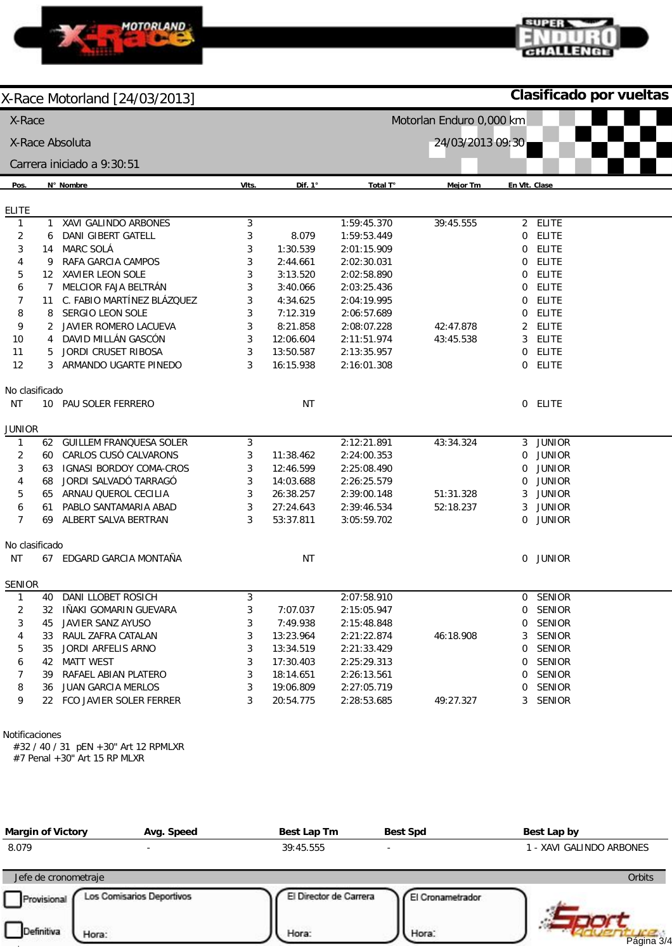

**Clasificado por vueltas**

CHALLEN

supra

| X-Race            |    |                                      |                  |           |             | Motorlan Enduro 0,000 km |                                |  |
|-------------------|----|--------------------------------------|------------------|-----------|-------------|--------------------------|--------------------------------|--|
|                   |    | X-Race Absoluta                      | 24/03/2013 09:30 |           |             |                          |                                |  |
|                   |    | Carrera iniciado a 9:30:51           |                  |           |             |                          |                                |  |
| Pos.              |    | N° Nombre                            | VIts.            | Dif. 1°   | Total T°    | <b>Mejor Tm</b>          | En VIt. Clase                  |  |
|                   |    |                                      |                  |           |             |                          |                                |  |
| <b>ELITE</b><br>1 | 1  | XAVI GALINDO ARBONES                 | 3                |           | 1:59:45.370 | 39:45.555                | <b>ELITE</b><br>$\overline{2}$ |  |
| 2                 | 6  | DANI GIBERT GATELL                   | 3                | 8.079     | 1:59:53.449 |                          | <b>ELITE</b><br>0              |  |
| 3                 | 14 | MARC SOLÁ                            | 3                | 1:30.539  | 2:01:15.909 |                          | <b>ELITE</b><br>0              |  |
| 4                 | 9  | RAFA GARCIA CAMPOS                   | 3                | 2:44.661  | 2:02:30.031 |                          | ELITE<br>0                     |  |
| 5                 | 12 | XAVIER LEON SOLE                     | 3                | 3:13.520  | 2:02:58.890 |                          | <b>ELITE</b><br>0              |  |
| 6                 | 7  | MELCIOR FAJA BELTRÁN                 | 3                | 3:40.066  | 2:03:25.436 |                          | <b>ELITE</b><br>0              |  |
| $\overline{7}$    | 11 | C. FABIO MARTÍNEZ BLÁZQUEZ           | 3                | 4:34.625  | 2:04:19.995 |                          | ELITE<br>0                     |  |
| 8                 | 8  | SERGIO LEON SOLE                     | 3                | 7:12.319  | 2:06:57.689 |                          | <b>ELITE</b><br>0              |  |
| 9                 | 2  | JAVIER ROMERO LACUEVA                | 3                | 8:21.858  | 2:08:07.228 | 42:47.878                | <b>ELITE</b><br>2              |  |
| 10                | 4  | DAVID MILLÁN GASCÓN                  | 3                | 12:06.604 | 2:11:51.974 | 43:45.538                | <b>ELITE</b><br>3              |  |
| 11                | 5  | JORDI CRUSET RIBOSA                  | 3                | 13:50.587 | 2:13:35.957 |                          | <b>ELITE</b><br>0              |  |
| 12                | 3  | ARMANDO UGARTE PINEDO                | 3                | 16:15.938 | 2:16:01.308 |                          | $\mathbf 0$<br>ELITE           |  |
| No clasificado    |    |                                      |                  |           |             |                          |                                |  |
| ΝT                |    | 10 PAU SOLER FERRERO                 |                  | <b>NT</b> |             |                          | 0 ELITE                        |  |
| <b>JUNIOR</b>     |    |                                      |                  |           |             |                          |                                |  |
| 1                 | 62 | <b>GUILLEM FRANQUESA SOLER</b>       | 3                |           | 2:12:21.891 | 43:34.324                | 3 JUNIOR                       |  |
| $\overline{c}$    | 60 | CARLOS CUSÓ CALVARONS                | 3                | 11:38.462 | 2:24:00.353 |                          | <b>JUNIOR</b><br>0             |  |
| 3                 | 63 | <b>IGNASI BORDOY COMA-CROS</b>       | 3                | 12:46.599 | 2:25:08.490 |                          | <b>JUNIOR</b><br>0             |  |
| 4                 | 68 | JORDI SALVADÓ TARRAGÓ                | 3                | 14:03.688 | 2:26:25.579 |                          | <b>JUNIOR</b><br>0             |  |
| 5                 | 65 | ARNAU QUEROL CECILIA                 | 3                | 26:38.257 | 2:39:00.148 | 51:31.328                | <b>JUNIOR</b><br>3             |  |
| 6                 | 61 | PABLO SANTAMARIA ABAD                | 3                | 27:24.643 | 2:39:46.534 | 52:18.237                | <b>JUNIOR</b><br>3             |  |
| $\overline{7}$    | 69 | ALBERT SALVA BERTRAN                 | 3                | 53:37.811 | 3:05:59.702 |                          | <b>JUNIOR</b><br>0             |  |
| No clasificado    |    |                                      |                  |           |             |                          |                                |  |
| ΝT                |    | 67 EDGARD GARCIA MONTAÑA             |                  | <b>NT</b> |             |                          | 0 JUNIOR                       |  |
| <b>SENIOR</b>     |    |                                      |                  |           |             |                          |                                |  |
| $\mathbf{1}$      | 40 | DANI LLOBET ROSICH                   | 3                |           | 2:07:58.910 |                          | 0 SENIOR                       |  |
| 2                 |    | 32 IÑAKI GOMARIN GUEVARA             | 3                | 7:07.037  | 2:15:05.947 |                          | 0 SENIOR                       |  |
| 3                 | 45 | JAVIER SANZ AYUSO                    | 3                | 7:49.938  | 2:15:48.848 |                          | 0 SENIOR                       |  |
| 4                 | 33 | RAUL ZAFRA CATALAN                   | 3                | 13:23.964 | 2:21:22.874 | 46:18.908                | SENIOR<br>3                    |  |
| 5                 | 35 | JORDI ARFELIS ARNO                   | 3                | 13:34.519 | 2:21:33.429 |                          | SENIOR<br>0                    |  |
| 6                 | 42 | <b>MATT WEST</b>                     | 3                | 17:30.403 | 2:25:29.313 |                          | 0 SENIOR                       |  |
| 7                 | 39 | RAFAEL ABIAN PLATERO                 | 3                | 18:14.651 | 2:26:13.561 |                          | SENIOR<br>0                    |  |
| 8                 |    | 36 JUAN GARCIA MERLOS                | 3                | 19:06.809 | 2:27:05.719 |                          | SENIOR<br>0                    |  |
| 9                 |    | 22 FCO JAVIER SOLER FERRER           | 3                | 20:54.775 | 2:28:53.685 | 49:27.327                | 3 SENIOR                       |  |
| Notificaciones    |    | #32 / 40 / 31 pEN +30" Art 12 RPMLXR |                  |           |             |                          |                                |  |

#7 Penal +30" Art 15 RP MLXR

| <b>Margin of Victory</b> | Avg. Speed                | Best Lap Tm            | <b>Best Spd</b>  | Best Lap by              |
|--------------------------|---------------------------|------------------------|------------------|--------------------------|
| 8.079                    | -                         | 39:45.555              |                  | 1 - XAVI GALINDO ARBONES |
| Jefe de cronometraje     |                           |                        |                  | <b>Orbits</b>            |
| Provisional              | Los Comisarios Deportivos | El Director de Carrera | El Cronametrador |                          |
| Definitiva<br>Hora:      |                           | Hora:                  | Hora:            | Página 3/4               |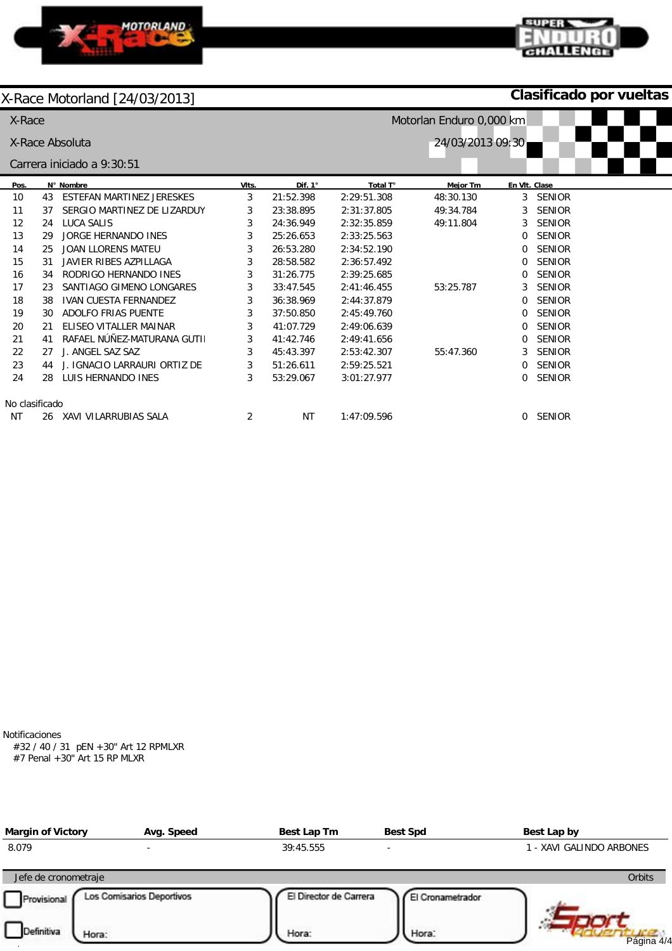

**Clasificado por vueltas**

CHALLENGI

0 SENIOR

| X-Race         |    |                              |       | Motorlan Enduro 0,000 km |             |                  |               |               |
|----------------|----|------------------------------|-------|--------------------------|-------------|------------------|---------------|---------------|
|                |    | X-Race Absoluta              |       |                          |             | 24/03/2013 09:30 |               |               |
|                |    | Carrera iniciado a 9:30:51   |       |                          |             |                  |               |               |
| Pos.           |    | N° Nombre                    | VIts. | Dif. 1°                  | Total T°    | <b>Mejor Tm</b>  | En VIt. Clase |               |
| 10             | 43 | ESTEFAN MARTINEZ JERESKES    | 3     | 21:52.398                | 2:29:51.308 | 48:30.130        | 3             | <b>SENIOR</b> |
| 11             | 37 | SERGIO MARTINEZ DE LIZARDUY  | 3     | 23:38.895                | 2:31:37.805 | 49:34.784        | 3             | <b>SENIOR</b> |
| 12             | 24 | LUCA SALIS                   | 3     | 24:36.949                | 2:32:35.859 | 49:11.804        | 3             | <b>SENIOR</b> |
| 13             | 29 | JORGE HERNANDO INES          | 3     | 25:26.653                | 2:33:25.563 |                  | 0             | <b>SENIOR</b> |
| 14             | 25 | JOAN LLORENS MATEU           | 3     | 26:53.280                | 2:34:52.190 |                  | 0             | <b>SENIOR</b> |
| 15             | 31 | JAVIER RIBES AZPILLAGA       | 3     | 28:58.582                | 2:36:57.492 |                  |               | <b>SENIOR</b> |
| 16             | 34 | RODRIGO HERNANDO INES        | 3     | 31:26.775                | 2:39:25.685 |                  | 0             | <b>SENIOR</b> |
| 17             | 23 | SANTIAGO GIMENO LONGARES     | 3     | 33:47.545                | 2:41:46.455 | 53:25.787        | 3             | <b>SENIOR</b> |
| 18             | 38 | <b>IVAN CUESTA FERNANDEZ</b> | 3     | 36:38.969                | 2:44:37.879 |                  | 0             | <b>SENIOR</b> |
| 19             | 30 | ADOLFO FRIAS PUENTE          | 3     | 37:50.850                | 2:45:49.760 |                  |               | <b>SENIOR</b> |
| 20             | 21 | ELISEO VITALLER MAINAR       | 3     | 41:07.729                | 2:49:06.639 |                  | 0             | <b>SENIOR</b> |
| 21             | 41 | RAFAEL NÚÑEZ-MATURANA GUTII  | 3     | 41:42.746                | 2:49:41.656 |                  | 0             | <b>SENIOR</b> |
| 22             | 27 | J. ANGEL SAZ SAZ             | 3     | 45:43.397                | 2:53:42.307 | 55:47.360        | 3             | <b>SENIOR</b> |
| 23             | 44 | J. IGNACIO LARRAURI ORTIZ DE | 3     | 51:26.611                | 2:59:25.521 |                  |               | <b>SENIOR</b> |
| 24             | 28 | LUIS HERNANDO INES           | 3     | 53:29.067                | 3:01:27.977 |                  | 0             | <b>SENIOR</b> |
| No clasificado |    |                              |       |                          |             |                  |               |               |

NT

1:47:09.596

2

No clasificado

NT 26 XAVI VILARRUBIAS SALA

Notificaciones

#32 / 40 / 31 pEN +30" Art 12 RPMLXR

#7 Penal +30" Art 15 RP MLXR

| <b>Margin of Victory</b> | Avg. Speed                | Best Lap Tm            | <b>Best Spd</b>          | Best Lap by              |
|--------------------------|---------------------------|------------------------|--------------------------|--------------------------|
| 8.079                    | $\overline{\phantom{0}}$  | 39:45.555              | $\overline{\phantom{a}}$ | I - XAVI GALINDO ARBONES |
| Jefe de cronometraje     |                           |                        |                          | Orbits                   |
| Provisional              | Los Comisarios Deportivos | El Director de Carrera | El Cronametrador         |                          |
| Definitiva               | Hora:                     | Hora:                  | Hora:                    | Página 4/4               |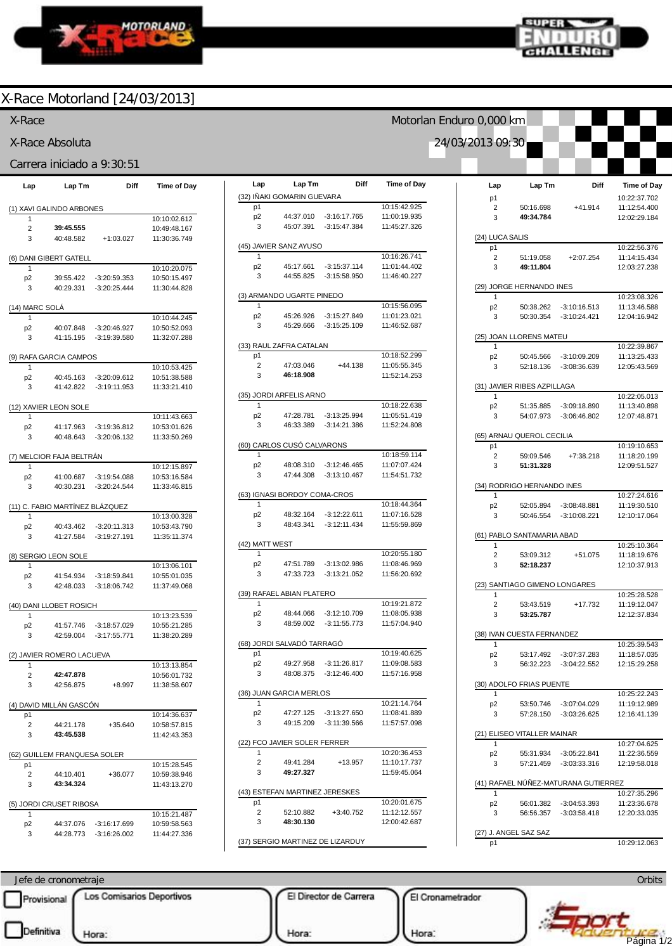



Motorlan Enduro 0,000 km

24/03/2013 09:30

### X-Race Motorland [24/03/2013]

#### X-Race

X-Race Absoluta

#### Carrera iniciado a 9:30:51

| Lap                      | Lap Tm                          | Diff           | <b>Time of Day</b>           |  |  |  |  |  |
|--------------------------|---------------------------------|----------------|------------------------------|--|--|--|--|--|
| (1) XAVI GALINDO ARBONES |                                 |                |                              |  |  |  |  |  |
| 1                        |                                 |                | 10:10:02.612                 |  |  |  |  |  |
| 2                        | 39:45.555                       |                | 10:49:48.167                 |  |  |  |  |  |
| 3                        | 40:48.582                       | $+1:03.027$    | 11:30:36.749                 |  |  |  |  |  |
| (6) DANI GIBERT GATELL   |                                 |                |                              |  |  |  |  |  |
| 1                        |                                 |                | 10:10:20.075                 |  |  |  |  |  |
| p <sub>2</sub>           | 39:55.422                       | $-3:20:59.353$ | 10:50:15.497                 |  |  |  |  |  |
| 3                        | 40:29.331                       | $-3:20:25.444$ | 11:30:44.828                 |  |  |  |  |  |
| (14) MARC SOLÀ           |                                 |                |                              |  |  |  |  |  |
| 1                        | 40:07.848                       | $-3:20:46.927$ | 10:10:44.245<br>10:50:52.093 |  |  |  |  |  |
| p <sub>2</sub><br>3      | 41:15.195                       | $-3:19:39.580$ | 11:32:07.288                 |  |  |  |  |  |
|                          |                                 |                |                              |  |  |  |  |  |
| 1                        | RAFA GARCIA CAMPOS              |                | 10:10:53.425                 |  |  |  |  |  |
|                          | 40:45.163                       | $-3:20:09.612$ | 10:51:38.588                 |  |  |  |  |  |
| p <sub>2</sub><br>3      | 41:42.822                       | $-3:19:11.953$ | 11:33:21.410                 |  |  |  |  |  |
|                          |                                 |                |                              |  |  |  |  |  |
|                          | (12) XAVIER LEON SOLE           |                |                              |  |  |  |  |  |
| 1                        |                                 |                | 10:11:43.663                 |  |  |  |  |  |
| p <sub>2</sub>           | 41:17.963                       | $-3:19:36.812$ | 10:53:01.626                 |  |  |  |  |  |
| 3                        | 40:48.643                       | $-3:20:06.132$ | 11:33:50.269                 |  |  |  |  |  |
|                          | (7) MELCIOR FAJA BELTRÁN        |                |                              |  |  |  |  |  |
| 1                        |                                 |                | 10:12:15.897                 |  |  |  |  |  |
| p <sub>2</sub>           | 41:00.687                       | $-3:19:54.088$ | 10:53:16.584                 |  |  |  |  |  |
| 3                        | 40:30.231                       | $-3:20:24.544$ | 11:33:46.815                 |  |  |  |  |  |
|                          | (11) C. FABIO MARTÍNEZ BLÁZQUEZ |                |                              |  |  |  |  |  |
| 1                        |                                 |                | 10:13:00.328                 |  |  |  |  |  |
| p <sub>2</sub>           | 40:43.462                       | $-3:20:11.313$ | 10:53:43.790                 |  |  |  |  |  |
| 3                        | 41:27.584                       | $-3:19:27.191$ | 11:35:11.374                 |  |  |  |  |  |
|                          | (8) SERGIO LEON SOLE            |                |                              |  |  |  |  |  |
| 1                        |                                 |                | 10:13:06.101                 |  |  |  |  |  |
| p <sub>2</sub>           | 41:54.934                       | $-3:18:59.841$ | 10:55:01.035                 |  |  |  |  |  |
| 3                        | 42:48.033                       | $-3:18:06.742$ | 11:37:49.068                 |  |  |  |  |  |
|                          | (40) DANI LLOBET ROSICH         |                |                              |  |  |  |  |  |
| 1                        |                                 |                | 10:13:23.539                 |  |  |  |  |  |
| p <sub>2</sub>           | 41:57.746                       | $-3:18:57.029$ | 10:55:21.285                 |  |  |  |  |  |
| 3                        | 42:59.004                       | $-3:17:55.771$ | 11:38:20.289                 |  |  |  |  |  |
|                          | (2) JAVIER ROMERO LACUEVA       |                |                              |  |  |  |  |  |
| 1                        |                                 |                | 10:13:13.854                 |  |  |  |  |  |
| 2                        | 42:47.878                       |                | 10:56:01.732                 |  |  |  |  |  |
| 3                        | 42:56.875                       | $+8.997$       | 11:38:58.607                 |  |  |  |  |  |
|                          | DAVID MILLÁN GASCÓN             |                |                              |  |  |  |  |  |
| p1<br>$\overline{c}$     | 44:21.178                       | $+35.640$      | 10:14:36.637<br>10:58:57.815 |  |  |  |  |  |
| 3                        | 43:45.538                       |                | 11:42:43.353                 |  |  |  |  |  |
|                          |                                 |                |                              |  |  |  |  |  |
| (62)                     | <b>GUILLEM FRANQUESA SOLER</b>  |                |                              |  |  |  |  |  |
| p1                       |                                 |                | 10:15:28.545                 |  |  |  |  |  |
| 2                        | 44:10.401                       | $+36.077$      | 10:59:38.946                 |  |  |  |  |  |
| 3                        | 43:34.324                       |                | 11:43:13.270                 |  |  |  |  |  |
|                          | (5) JORDI CRUSET RIBOSA         |                |                              |  |  |  |  |  |
| 1                        |                                 |                | 10:15:21.487                 |  |  |  |  |  |
| p <sub>2</sub>           | 44:37.076                       | $-3:16:17.699$ | 10:59:58.563                 |  |  |  |  |  |
| 3                        | 44:28.773                       | $-3:16:26.002$ | 11:44:27.336                 |  |  |  |  |  |

| Lap                 | Lap Tm                         | Diff                             | <b>Time of Day</b>           |
|---------------------|--------------------------------|----------------------------------|------------------------------|
|                     | (32) IÑAKI GOMARIN GUEVARA     |                                  |                              |
| p1                  |                                |                                  | 10:15:42.925<br>11:00:19.935 |
| p <sub>2</sub><br>3 | 44:37.010<br>45:07.391         | $-3:16:17.765$<br>$-3:15:47.384$ | 11:45:27.326                 |
|                     |                                |                                  |                              |
|                     | (45) JAVIER SANZ AYUSO         |                                  |                              |
| 1                   |                                |                                  | 10:16:26.741                 |
| p2<br>3             | 45:17.661<br>44:55.825         | $-3:15:37.114$<br>$-3:15:58.950$ | 11:01:44.402<br>11:46:40.227 |
|                     |                                |                                  |                              |
|                     | (3) ARMANDO UGARTE PINEDO      |                                  |                              |
| 1                   |                                |                                  | 10:15:56.095                 |
| p <sub>2</sub><br>3 | 45:26.926<br>45:29.666         | $-3:15:27.849$<br>$-3:15:25.109$ | 11:01:23.021<br>11:46:52.687 |
|                     |                                |                                  |                              |
|                     | (33) RAUL ZAFRA CATALAN        |                                  |                              |
| p1                  |                                |                                  | 10:18:52.299                 |
| 2<br>3              | 47:03.046<br>46:18.908         | $+44.138$                        | 11:05:55.345<br>11:52:14.253 |
|                     |                                |                                  |                              |
|                     | (35) JORDI ARFELIS ARNO        |                                  |                              |
| 1                   |                                |                                  | 10:18:22.638                 |
| p2<br>3             | 47:28.781<br>46:33.389         | $-3:13:25.994$<br>$-3:14:21.386$ | 11:05:51.419<br>11:52:24.808 |
|                     |                                |                                  |                              |
|                     | (60) CARLOS CUSÓ CALVARONS     |                                  |                              |
| 1                   |                                |                                  | 10:18:59.114                 |
| p <sub>2</sub><br>3 | 48:08.310<br>47:44.308         | $-3:12:46.465$<br>$-3:13:10.467$ | 11:07:07.424<br>11:54:51.732 |
|                     |                                |                                  |                              |
|                     | (63) IGNASI BORDOY COMA-CROS   |                                  |                              |
| 1                   |                                |                                  | 10:18:44.364                 |
| p2                  | 48:32.164<br>48:43.341         | $-3:12:22.611$                   | 11:07:16.528                 |
| 3                   |                                | $-3:12:11.434$                   | 11:55:59.869                 |
| (42) MATT WEST      |                                |                                  |                              |
| 1                   |                                |                                  | 10:20:55.180                 |
| p2<br>3             | 47:51.789<br>47:33.723         | $-3:13:02.986$<br>$-3:13:21.052$ | 11:08:46.969<br>11:56:20.692 |
|                     |                                |                                  |                              |
|                     | (39) RAFAEL ABIAN PLATERO      |                                  |                              |
| 1                   |                                |                                  | 10:19:21.872                 |
| p <sub>2</sub><br>3 | 48:44.066                      | $-3:12:10.709$<br>$-3:11:55.773$ | 11:08:05.938                 |
|                     | 48:59.002                      |                                  | 11:57:04.940                 |
|                     | RDI SALVADO TARRAGO            |                                  |                              |
| p1                  |                                |                                  | 10:19:40.625                 |
| p∠                  | 49.27.958                      | $-3:11:26.817$                   | 11:09:08.583                 |
| 3                   |                                | 48:08.375 -3:12:46.400           | 11:57:16.958                 |
|                     | (36) JUAN GARCIA MERLOS        |                                  |                              |
| 1                   |                                |                                  | 10:21:14.764                 |
| p2                  |                                | 47:27.125 -3:13:27.650           | 11:08:41.889                 |
| 3                   | 49:15.209                      | -3:11:39.566                     | 11:57:57.098                 |
|                     | (22) FCO JAVIER SOLER FERRER   |                                  |                              |
| 1                   |                                |                                  | 10:20:36.453                 |
| 2                   | 49:41.284                      | +13.957                          | 11:10:17.737                 |
| 3                   | 49:27.327                      |                                  | 11:59:45.064                 |
|                     | (43) ESTEFAN MARTINEZ JERESKES |                                  |                              |
| p1                  |                                |                                  | 10:20:01.675                 |
| 2                   | 52:10.882                      | $+3:40.752$                      | 11:12:12.557                 |
| 3                   | 48:30.130                      |                                  | 12:00:42.687                 |
|                     |                                | (37) SERGIO MARTINEZ DE LIZARDUY |                              |

| Lap             | Lap Tm                        | Diff                            | <b>Time of Day</b> |
|-----------------|-------------------------------|---------------------------------|--------------------|
| p1              |                               |                                 | 10:22:37.702       |
| 2               | 50:16.698                     | +41.914                         | 11:12:54.400       |
| 3               | 49:34.784                     |                                 | 12:02:29.184       |
| (24) LUCA SALIS |                               |                                 |                    |
| p1              |                               |                                 | 10:22:56.376       |
| 2               | 51:19.058                     | $+2:07.254$                     | 11:14:15.434       |
| 3               | 49:11.804                     |                                 | 12:03:27.238       |
|                 | (29) JORGE HERNANDO INES      |                                 |                    |
| 1               |                               |                                 | 10:23:08.326       |
| p <sub>2</sub>  | 50:38.262                     | -3:10:16.513                    | 11:13:46.588       |
| 3               |                               | 50:30.354 -3:10:24.421          | 12:04:16.942       |
|                 | (25) JOAN LLORENS MATEU       |                                 |                    |
| 1               |                               |                                 | 10:22:39.867       |
| p2              | 50:45.566                     | $-3:10:09.209$                  | 11:13:25.433       |
| 3               | 52:18.136                     | $-3:08:36.639$                  | 12:05:43.569       |
|                 | (31) JAVIER RIBES AZPILLAGA   |                                 |                    |
| 1               |                               |                                 | 10:22:05.013       |
| p <sub>2</sub>  |                               | 51:35.885 -3:09:18.890          | 11:13:40.898       |
| 3               | 54:07.973                     | $-3:06:46.802$                  | 12:07:48.871       |
|                 | (65) ARNAU QUEROL CECILIA     |                                 |                    |
| p1              |                               |                                 | 10:19:10.653       |
| 2               | 59:09.546                     | +7:38.218                       | 11:18:20.199       |
| 3               | 51:31.328                     |                                 | 12:09:51.527       |
|                 | (34) RODRIGO HERNANDO INES    |                                 |                    |
| 1               |                               |                                 | 10:27:24.616       |
| p2              | 52:05.894                     | $-3:08:48.881$                  | 11:19:30.510       |
| 3               | 50:46.554                     | $-3:10:08.221$                  | 12:10:17.064       |
|                 | (61) PABLO SANTAMARIA ABAD    |                                 |                    |
| 1               |                               |                                 | 10:25:10.364       |
| 2               | 53:09.312                     | +51.075                         | 11:18:19.676       |
| 3               | 52:18.237                     |                                 | 12:10:37.913       |
|                 | (23) SANTIAGO GIMENO LONGARES |                                 |                    |
| 1               |                               |                                 | 10:25:28.528       |
| 2               | 53:43.519                     | +17.732                         | 11:19:12.047       |
| 3               | 53:25.787                     |                                 | 12:12:37.834       |
|                 | (38) IVAN CUESTA FERNANDEZ    |                                 |                    |
| 1               |                               |                                 | 10:25:39.543       |
| p2              |                               | 53:17.492 -3:07:37.283          | 11:18:57.035       |
| 3               | 56:32.223                     | $-3:04:22.552$                  | 12:15:29.258       |
|                 | (30) ADOLFO FRIAS PUENTE      |                                 |                    |
|                 |                               |                                 | 10:25:22.243       |
| p <sub>2</sub>  | 53:50.746                     | -3:07:04.029                    | 11:19:12.989       |
| 3               | 57:28.150                     | $-3:03:26.625$                  | 12:16:41.139       |
|                 | (21) ELISEO VITALLER MAINAR   |                                 |                    |
| 1               |                               |                                 | 10:27:04.625       |
| p <sub>2</sub>  | 55:31.934                     | $-3:05:22.841$                  | 11:22:36.559       |
| 3               | 57:21.459                     | $-3:03:33.316$                  | 12:19:58.018       |
|                 |                               | RAFAEL NÚÑEZ-MATURANA GUTIERREZ |                    |
| 1               |                               |                                 | 10:27:35.296       |
| p2              | 56:01.382                     | $-3:04:53.393$                  | 11:23:36.678       |
| 3               | 56:56.357                     | $-3:03:58.418$                  | 12:20:33.035       |
|                 | (27) J. ANGEL SAZ SAZ         |                                 |                    |
| p1              |                               |                                 | 10:29:12.063       |

Jefe de cronometraje **Orbits** Provisional Los Comisarios Deportivos El Director de Carrera El Cronametrador ww.mylaps.com  $\mathcal{L}$ Hora: Hora:  $\frac{1}{2}$ Página 1/2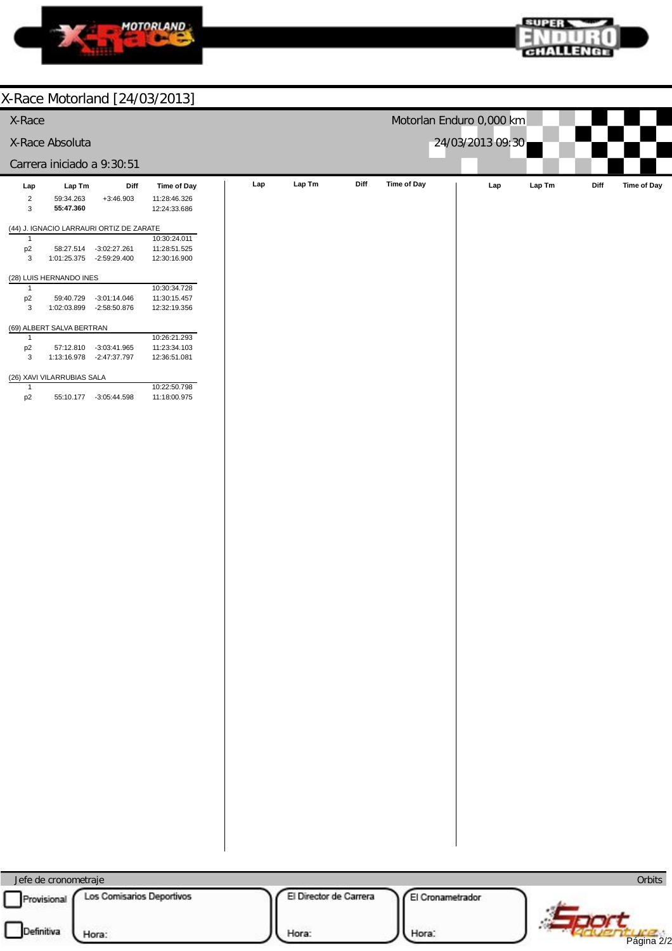



| Le i valle in provincia de la contextual                                                           |                        |                          |                  |                     |
|----------------------------------------------------------------------------------------------------|------------------------|--------------------------|------------------|---------------------|
| X-Race                                                                                             |                        | Motorlan Enduro 0,000 km |                  |                     |
| X-Race Absoluta                                                                                    |                        |                          | 24/03/2013 09:30 |                     |
| Carrera iniciado a 9:30:51                                                                         |                        |                          |                  |                     |
| Lap Tm<br>Diff<br><b>Time of Day</b><br>Lap                                                        | Lap Tm<br>Lap          | Time of Day<br>Diff      | Lap<br>Lap Tm    | Time of Day<br>Diff |
| $\overline{2}$<br>59:34.263<br>$+3:46.903$<br>11:28:46.326<br>55:47.360<br>3<br>12:24:33.686       |                        |                          |                  |                     |
| (44) J. IGNACIO LARRAURI ORTIZ DE ZARATE                                                           |                        |                          |                  |                     |
| 10:30:24.011<br>$\mathbf{1}$<br>p2<br>$-3:02:27.261$<br>11:28:51.525<br>58:27.514                  |                        |                          |                  |                     |
| 3<br>1:01:25.375 -2:59:29.400<br>12:30:16.900                                                      |                        |                          |                  |                     |
| (28) LUIS HERNANDO INES<br>10:30:34.728<br>$\mathbf{1}$                                            |                        |                          |                  |                     |
| p2<br>11:30:15.457<br>59:40.729<br>$-3:01:14.046$<br>3<br>1:02:03.899 -2:58:50.876<br>12:32:19.356 |                        |                          |                  |                     |
| (69) ALBERT SALVA BERTRAN                                                                          |                        |                          |                  |                     |
| 10:26:21.293<br>$\mathbf{1}$<br>p <sub>2</sub><br>11:23:34.103<br>57:12.810<br>$-3:03:41.965$      |                        |                          |                  |                     |
| 3<br>1:13:16.978 -2:47:37.797<br>12:36:51.081                                                      |                        |                          |                  |                     |
| (26) XAVI VILARRUBIAS SALA<br>10:22:50.798<br>$\mathbf{1}$                                         |                        |                          |                  |                     |
| p <sub>2</sub><br>55:10.177 -3:05:44.598<br>11:18:00.975                                           |                        |                          |                  |                     |
|                                                                                                    |                        |                          |                  |                     |
|                                                                                                    |                        |                          |                  |                     |
|                                                                                                    |                        |                          |                  |                     |
|                                                                                                    |                        |                          |                  |                     |
|                                                                                                    |                        |                          |                  |                     |
|                                                                                                    |                        |                          |                  |                     |
|                                                                                                    |                        |                          |                  |                     |
|                                                                                                    |                        |                          |                  |                     |
|                                                                                                    |                        |                          |                  |                     |
|                                                                                                    |                        |                          |                  |                     |
|                                                                                                    |                        |                          |                  |                     |
|                                                                                                    |                        |                          |                  |                     |
|                                                                                                    |                        |                          |                  |                     |
|                                                                                                    |                        |                          |                  |                     |
|                                                                                                    |                        |                          |                  |                     |
|                                                                                                    |                        |                          |                  |                     |
|                                                                                                    |                        |                          |                  |                     |
|                                                                                                    |                        |                          |                  |                     |
|                                                                                                    |                        |                          |                  |                     |
|                                                                                                    |                        |                          |                  |                     |
|                                                                                                    |                        |                          |                  |                     |
|                                                                                                    |                        |                          |                  |                     |
|                                                                                                    |                        |                          |                  |                     |
|                                                                                                    |                        |                          |                  |                     |
| Jefe de cronometraje                                                                               |                        |                          |                  | Orbits              |
| Los Comisarios Deportivos<br>Provisional                                                           | El Director de Carrera | El Cronametrador         |                  |                     |

| Hora: |
|-------|
|       |

Hora:

Hora:

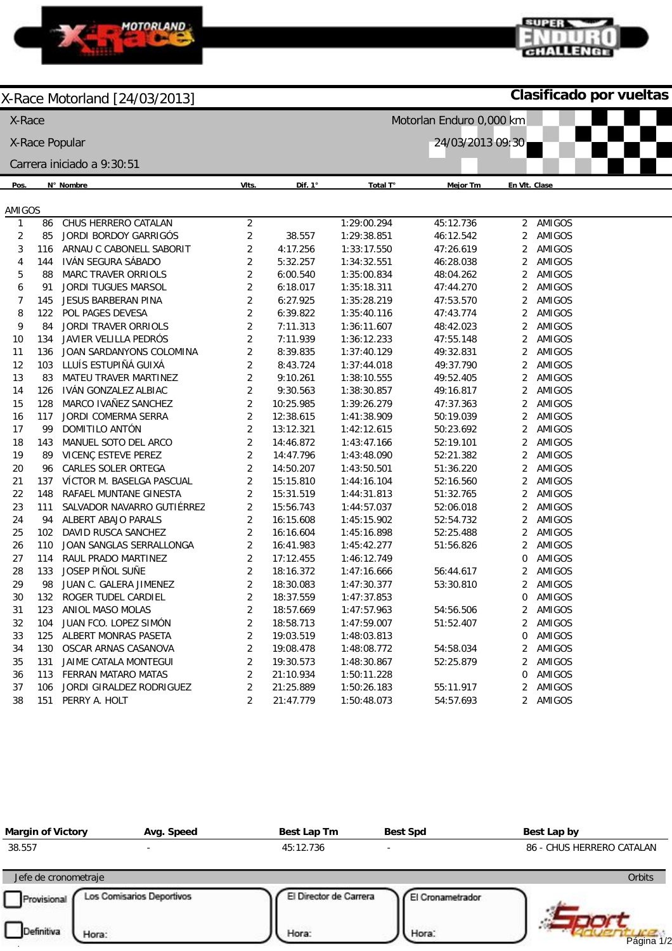

**Clasificado por vueltas**

GHALLENGE

**SUPER** 

| X-Race<br>Motorlan Enduro 0,000 km |     |                              |                         |                |                  |                 |                |        |  |
|------------------------------------|-----|------------------------------|-------------------------|----------------|------------------|-----------------|----------------|--------|--|
|                                    |     | X-Race Popular               |                         |                | 24/03/2013 09:30 |                 |                |        |  |
| Carrera iniciado a 9:30:51         |     |                              |                         |                |                  |                 |                |        |  |
| Pos.                               |     | N° Nombre                    | VIts.                   | Dif. $1^\circ$ | Total T°         | <b>Mejor Tm</b> | En VIt. Clase  |        |  |
| AMIGOS                             |     |                              |                         |                |                  |                 |                |        |  |
| 1                                  | 86  | CHUS HERRERO CATALAN         | $\overline{c}$          |                | 1:29:00.294      | 45:12.736       | $\overline{2}$ | AMIGOS |  |
| $\overline{2}$                     | 85  | JORDI BORDOY GARRIGÓS        | 2                       | 38.557         | 1:29:38.851      | 46:12.542       | 2              | AMIGOS |  |
| 3                                  | 116 | ARNAU C CABONELL SABORIT     | 2                       | 4:17.256       | 1:33:17.550      | 47:26.619       | 2              | AMIGOS |  |
| 4                                  | 144 | IVÁN SEGURA SÁBADO           | 2                       | 5:32.257       | 1:34:32.551      | 46:28.038       | $\overline{2}$ | AMIGOS |  |
| 5                                  | 88  | MARC TRAVER ORRIOLS          | $\overline{c}$          | 6:00.540       | 1:35:00.834      | 48:04.262       | 2              | AMIGOS |  |
| 6                                  | 91  | JORDI TUGUES MARSOL          | $\overline{c}$          | 6:18.017       | 1:35:18.311      | 47:44.270       | 2              | AMIGOS |  |
| $\overline{7}$                     | 145 | JESUS BARBERAN PINA          | $\overline{c}$          | 6:27.925       | 1:35:28.219      | 47:53.570       | 2              | AMIGOS |  |
| 8                                  | 122 | POL PAGES DEVESA             | 2                       | 6:39.822       | 1:35:40.116      | 47:43.774       | 2              | AMIGOS |  |
| 9                                  | 84  | <b>JORDI TRAVER ORRIOLS</b>  | 2                       | 7:11.313       | 1:36:11.607      | 48:42.023       | 2              | AMIGOS |  |
| 10                                 | 134 | JAVIER VELILLA PEDRÓS        | 2                       | 7:11.939       | 1:36:12.233      | 47:55.148       | 2              | AMIGOS |  |
| 11                                 | 136 | JOAN SARDANYONS COLOMINA     | 2                       | 8:39.835       | 1:37:40.129      | 49:32.831       | 2              | AMIGOS |  |
| 12                                 | 103 | LLUÍS ESTUPIÑÁ GUIXÁ         | 2                       | 8:43.724       | 1:37:44.018      | 49:37.790       | 2              | AMIGOS |  |
| 13                                 | 83  | <b>MATEU TRAVER MARTINEZ</b> | 2                       | 9:10.261       | 1:38:10.555      | 49:52.405       | 2              | AMIGOS |  |
| 14                                 | 126 | IVÁN GONZALEZ ALBIAC         | 2                       | 9:30.563       | 1:38:30.857      | 49:16.817       | 2              | AMIGOS |  |
| 15                                 | 128 | MARCO IVAÑEZ SANCHEZ         | $\overline{c}$          | 10:25.985      | 1:39:26.279      | 47:37.363       | 2              | AMIGOS |  |
| 16                                 | 117 | JORDI COMERMA SERRA          | $\overline{c}$          | 12:38.615      | 1:41:38.909      | 50:19.039       | 2              | AMIGOS |  |
| 17                                 | 99  | DOMITILO ANTÓN               | $\overline{c}$          | 13:12.321      | 1:42:12.615      | 50:23.692       | 2              | AMIGOS |  |
| 18                                 | 143 | MANUEL SOTO DEL ARCO         | $\overline{c}$          | 14:46.872      | 1:43:47.166      | 52:19.101       | 2              | AMIGOS |  |
| 19                                 | 89  | VICENÇ ESTEVE PEREZ          | $\overline{c}$          | 14:47.796      | 1:43:48.090      | 52:21.382       | 2              | AMIGOS |  |
| 20                                 | 96  | CARLES SOLER ORTEGA          | $\overline{2}$          | 14:50.207      | 1:43:50.501      | 51:36.220       | 2              | AMIGOS |  |
| 21                                 | 137 | VÍCTOR M. BASELGA PASCUAL    | $\overline{2}$          | 15:15.810      | 1:44:16.104      | 52:16.560       | 2              | AMIGOS |  |
| 22                                 | 148 | RAFAEL MUNTANE GINESTA       | $\overline{c}$          | 15:31.519      | 1:44:31.813      | 51:32.765       | $\overline{2}$ | AMIGOS |  |
| 23                                 | 111 | SALVADOR NAVARRO GUTIÉRREZ   | $\overline{c}$          | 15:56.743      | 1:44:57.037      | 52:06.018       | 2              | AMIGOS |  |
| 24                                 | 94  | ALBERT ABAJO PARALS          | $\overline{c}$          | 16:15.608      | 1:45:15.902      | 52:54.732       | 2              | AMIGOS |  |
| 25                                 | 102 | DAVID RUSCA SANCHEZ          | $\overline{2}$          | 16:16.604      | 1:45:16.898      | 52:25.488       | 2              | AMIGOS |  |
| 26                                 | 110 | JOAN SANGLAS SERRALLONGA     | $\overline{2}$          | 16:41.983      | 1:45:42.277      | 51:56.826       | 2              | AMIGOS |  |
| 27                                 | 114 | RAUL PRADO MARTINEZ          | $\overline{c}$          | 17:12.455      | 1:46:12.749      |                 | 0              | AMIGOS |  |
| 28                                 | 133 | JOSEP PIÑOL SUÑE             | $\sqrt{2}$              | 18:16.372      | 1:47:16.666      | 56:44.617       | 2              | AMIGOS |  |
| 29                                 | 98  | JUAN C. GALERA JIMENEZ       | $\overline{2}$          | 18:30.083      | 1:47:30.377      | 53:30.810       | 2              | AMIGOS |  |
| 30                                 | 132 | ROGER TUDEL CARDIEL          | $\overline{2}$          | 18:37.559      | 1:47:37.853      |                 | 0              | AMIGOS |  |
| 31                                 | 123 | ANIOL MASO MOLAS             | 2                       | 18:57.669      | 1:47:57.963      | 54:56.506       | 2              | AMIGOS |  |
| 32                                 | 104 | JUAN FCO. LOPEZ SIMÓN        | 2                       | 18:58.713      | 1:47:59.007      | 51:52.407       | $\overline{2}$ | AMIGOS |  |
| 33                                 | 125 | ALBERT MONRAS PASETA         | 2                       | 19:03.519      | 1:48:03.813      |                 | 0              | AMIGOS |  |
| 34                                 | 130 | OSCAR ARNAS CASANOVA         | $\overline{\mathbf{c}}$ | 19:08.478      | 1:48:08.772      | 54:58.034       | 2              | AMIGOS |  |
| 35                                 | 131 | JAIME CATALA MONTEGUI        | $\overline{c}$          | 19:30.573      | 1:48:30.867      | 52:25.879       | 2              | AMIGOS |  |
| 36                                 | 113 | FERRAN MATARO MATAS          | $\overline{c}$          | 21:10.934      | 1:50:11.228      |                 | 0              | AMIGOS |  |
| 37                                 | 106 | JORDI GIRALDEZ RODRIGUEZ     | $\overline{c}$          | 21:25.889      | 1:50:26.183      | 55:11.917       | 2              | AMIGOS |  |
| 38                                 | 151 | PERRY A. HOLT                | 2                       | 21:47.779      | 1:50:48.073      | 54:57.693       | $\overline{2}$ | AMIGOS |  |

| <b>Margin of Victory</b> | Avg. Speed                | Best Lap Tm            | <b>Best Spd</b>  | Best Lap by               |
|--------------------------|---------------------------|------------------------|------------------|---------------------------|
| 38.557                   |                           | 45:12.736              |                  | 86 - CHUS HERRERO CATALAN |
| Jefe de cronometraje     |                           |                        |                  | <b>Orbits</b>             |
| Provisional              | Los Comisarios Deportivos | El Director de Carrera | El Cronametrador |                           |
| Definitiva<br>Hora:      |                           | Hora:                  | Hora:            | Página 1/2                |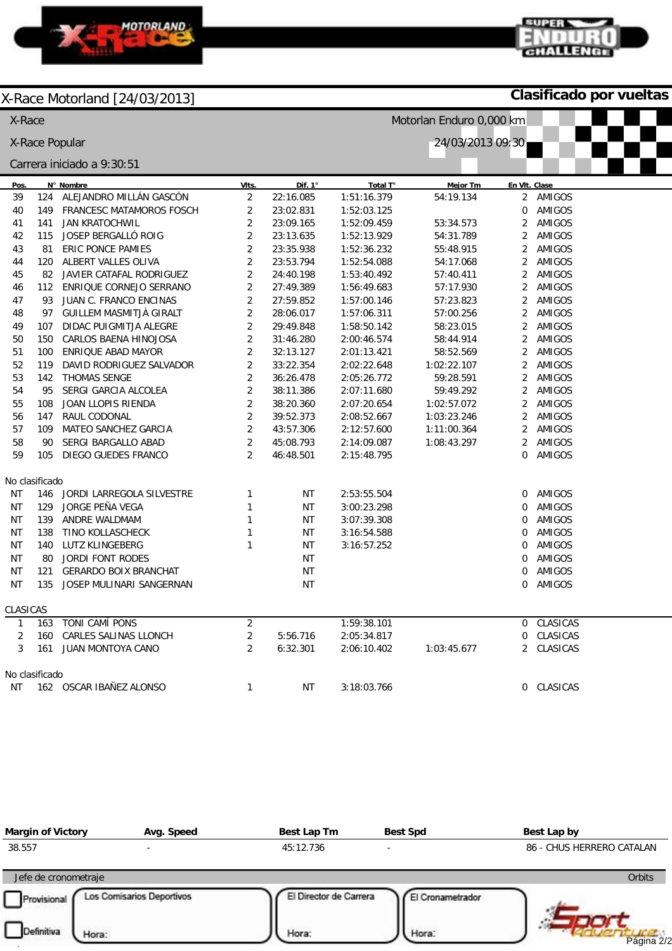

**Clasificado por vueltas**

GHALLENGE

super

| X-Race                             |                |                               | Motorlan Enduro 0,000 km |           |             |                 |                |               |
|------------------------------------|----------------|-------------------------------|--------------------------|-----------|-------------|-----------------|----------------|---------------|
| 24/03/2013 09:30<br>X-Race Popular |                |                               |                          |           |             |                 |                |               |
|                                    |                | Carrera iniciado a 9:30:51    |                          |           |             |                 |                |               |
| Pos.                               |                | N° Nombre                     | VIts.                    | Dif. 1°   | Total T°    | <b>Mejor Tm</b> |                | En VIt. Clase |
| 39                                 | 124            | ALEJANDRO MILLÁN GASCÓN       | $\overline{2}$           | 22:16.085 | 1:51:16.379 | 54:19.134       | $\overline{2}$ | AMIGOS        |
| 40                                 |                | 149 FRANCESC MATAMOROS FOSCH  | $\sqrt{2}$               | 23:02.831 | 1:52:03.125 |                 | 0              | AMIGOS        |
| 41                                 | 141            | <b>JAN KRATOCHWIL</b>         | $\overline{2}$           | 23:09.165 | 1:52:09.459 | 53:34.573       | $\overline{2}$ | AMIGOS        |
| 42                                 |                | 115 JOSEP BERGALLÓ ROIG       | $\overline{2}$           | 23:13.635 | 1:52:13.929 | 54:31.789       | $\overline{2}$ | AMIGOS        |
| 43                                 | 81             | ERIC PONCE PAMIES             | $\overline{2}$           | 23:35.938 | 1:52:36.232 | 55:48.915       | $\overline{2}$ | AMIGOS        |
| 44                                 |                | 120 ALBERT VALLES OLIVA       | $\sqrt{2}$               | 23:53.794 | 1:52:54.088 | 54:17.068       | $\overline{2}$ | AMIGOS        |
| 45                                 |                | 82 JAVIER CATAFAL RODRIGUEZ   | $\overline{2}$           | 24:40.198 | 1:53:40.492 | 57:40.411       | $\overline{2}$ | AMIGOS        |
| 46                                 |                | 112 ENRIQUE CORNEJO SERRANO   | $\sqrt{2}$               | 27:49.389 | 1:56:49.683 | 57:17.930       | $\overline{2}$ | AMIGOS        |
| 47                                 | 93             | JUAN C. FRANCO ENCINAS        | $\sqrt{2}$               | 27:59.852 | 1:57:00.146 | 57:23.823       | $\overline{2}$ | AMIGOS        |
| 48                                 |                | 97 GUILLEM MASMITJÀ GIRALT    | $\overline{2}$           | 28:06.017 | 1:57:06.311 | 57:00.256       | $\overline{2}$ | AMIGOS        |
| 49                                 | 107            | DIDAC PUIGMITJA ALEGRE        | $\sqrt{2}$               | 29:49.848 | 1:58:50.142 | 58:23.015       | $\overline{2}$ | AMIGOS        |
| 50                                 | 150            | CARLOS BAENA HINOJOSA         | $\overline{c}$           | 31:46.280 | 2:00:46.574 | 58:44.914       | $\overline{2}$ | AMIGOS        |
| 51                                 | 100            | ENRIQUE ABAD MAYOR            | $\overline{2}$           | 32:13.127 | 2:01:13.421 | 58:52.569       | $\overline{2}$ | AMIGOS        |
| 52                                 | 119            | DAVID RODRIGUEZ SALVADOR      | $\sqrt{2}$               | 33:22.354 | 2:02:22.648 | 1:02:22.107     | $\overline{2}$ | AMIGOS        |
| 53                                 |                | 142 THOMAS SENGE              | $\overline{2}$           | 36:26.478 | 2:05:26.772 | 59:28.591       | $\overline{2}$ | AMIGOS        |
| 54                                 | 95             | SERGI GARCIA ALCOLEA          | $\overline{2}$           | 38:11.386 | 2:07:11.680 | 59:49.292       | $\overline{2}$ | AMIGOS        |
| 55                                 | 108            | JOAN LLOPIS RIENDA            | $\sqrt{2}$               | 38:20.360 | 2:07:20.654 | 1:02:57.072     | $\overline{a}$ | AMIGOS        |
| 56                                 | 147            | RAUL CODONAL                  | $\overline{2}$           | 39:52.373 | 2:08:52.667 | 1:03:23.246     | $\overline{2}$ | AMIGOS        |
| 57                                 | 109            | MATEO SANCHEZ GARCIA          | $\overline{2}$           | 43:57.306 | 2:12:57.600 | 1:11:00.364     | $\overline{2}$ | AMIGOS        |
| 58                                 | 90             | SERGI BARGALLO ABAD           | $\sqrt{2}$               | 45:08.793 | 2:14:09.087 | 1:08:43.297     | 2              | AMIGOS        |
| 59                                 | 105            | DIEGO GUEDES FRANCO           | $\overline{2}$           | 46:48.501 | 2:15:48.795 |                 | 0              | AMIGOS        |
|                                    | No clasificado |                               |                          |           |             |                 |                |               |
| ΝT                                 |                | 146 JORDI LARREGOLA SILVESTRE | $\mathbf{1}$             | <b>NT</b> | 2:53:55.504 |                 | 0              | AMIGOS        |
| ΝT                                 |                | 129 JORGE PEÑA VEGA           | $\mathbf{1}$             | ΝT        | 3:00:23.298 |                 | 0              | AMIGOS        |
| NT                                 |                | 139 ANDRE WALDMAM             | $\mathbf{1}$             | ΝT        | 3:07:39.308 |                 | 0              | AMIGOS        |
| <b>NT</b>                          |                | 138 TINO KOLLASCHECK          | $\mathbf{1}$             | <b>NT</b> | 3:16:54.588 |                 | $\mathbf{0}$   | AMIGOS        |
| ΝT                                 |                | 140 LUTZ KLINGEBERG           | $\mathbf{1}$             | ΝT        | 3:16:57.252 |                 | 0              | AMIGOS        |
| <b>NT</b>                          |                | 80 JORDI FONT RODES           |                          | ΝT        |             |                 | 0              | AMIGOS        |
| <b>NT</b>                          | 121            | <b>GERARDO BOIX BRANCHAT</b>  |                          | <b>NT</b> |             |                 | 0              | AMIGOS        |
| ΝT                                 | 135            | JOSEP MULINARI SANGERNAN      |                          | ΝT        |             |                 | 0              | AMIGOS        |
| CLASICAS                           |                |                               |                          |           |             |                 |                |               |
| $\mathbf{1}$                       | 163            | TONI CAMÍ PONS                | $\overline{2}$           |           | 1:59:38.101 |                 | $\mathbf{0}$   | CLASICAS      |
| $\overline{2}$                     | 160            | CARLES SALINAS LLONCH         | $\sqrt{2}$               | 5:56.716  | 2:05:34.817 |                 | $\Omega$       | CLASICAS      |
| 3                                  | 161            | JUAN MONTOYA CANO             | $\overline{2}$           | 6:32.301  | 2:06:10.402 | 1:03:45.677     | $\overline{2}$ | CLASICAS      |
|                                    | No clasificado |                               |                          |           |             |                 |                |               |
| ΝT                                 |                | 162 OSCAR IBAÑEZ ALONSO       | $\mathbf{1}$             | <b>NT</b> | 3:18:03.766 |                 |                | 0 CLASICAS    |

| <b>Margin of Victory</b> | Avg. Speed                | Best Lap Tm            | <b>Best Spd</b>  | Best Lap by               |  |  |
|--------------------------|---------------------------|------------------------|------------------|---------------------------|--|--|
| 38.557                   |                           | 45:12.736              |                  | 86 - CHUS HERRERO CATALAN |  |  |
| Jefe de cronometraje     |                           |                        |                  | Orbits                    |  |  |
| Provisional              | Los Comisarios Deportivos | El Director de Carrera | El Cronametrador |                           |  |  |
| Definitiva<br>Hora:      |                           | Hora:                  | Hora:            | Página 2/2                |  |  |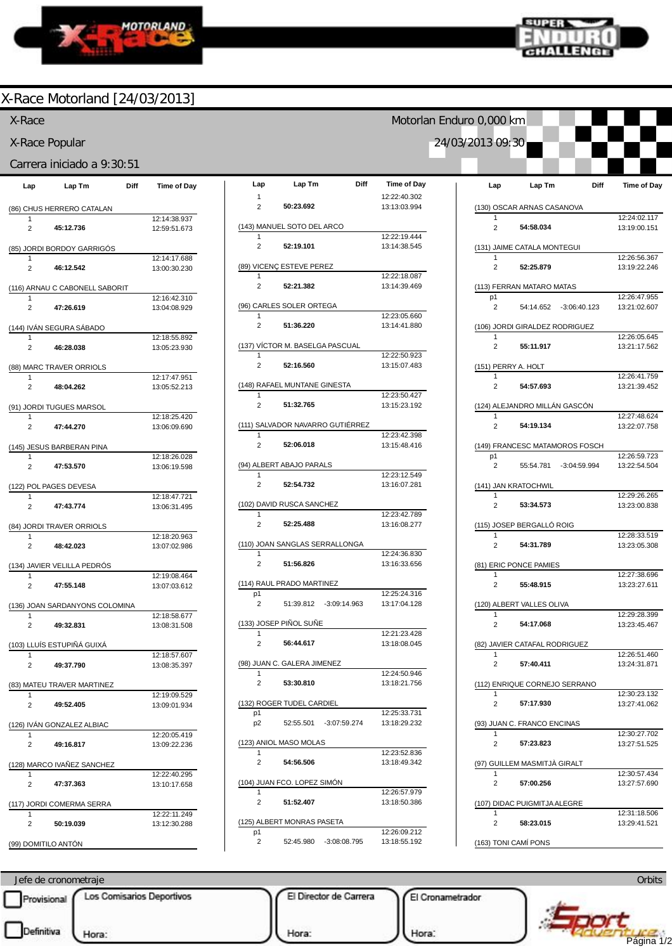



Motorlan Enduro 0,000 km

24/03/2013 09:30

### X-Race Motorland [24/03/2013]

#### X-Race

X-Race Popular

#### Carrera iniciado a 9:30:51

| Lap                 | Lap Tm                          | Diff | <b>Time of Day</b>           |
|---------------------|---------------------------------|------|------------------------------|
|                     | (86) CHUS HERRERO CATALAN       |      |                              |
| 1                   |                                 |      | 12:14:38.937                 |
| 2                   | 45:12.736                       |      | 12:59:51.673                 |
|                     | (85) JORDI BORDOY GARRIGÓS      |      |                              |
|                     |                                 |      | 12:14:17.688                 |
| 2                   | 46:12.542                       |      | 13:00:30.230                 |
|                     | (116) ARNAU C CABONELL SABORIT  |      |                              |
| 1<br>2              | 47:26.619                       |      | 12:16:42.310<br>13:04:08.929 |
|                     | <u>(144) IVÁN SEGURA SÁBADO</u> |      |                              |
| 1                   |                                 |      | 12:18:55.892                 |
| 2                   | 46:28.038                       |      | 13:05:23.930                 |
|                     | (88) MARC TRAVER ORRIOLS        |      |                              |
| 1<br>2              | 48:04.262                       |      | 12:17:47.951<br>13:05:52.213 |
|                     |                                 |      |                              |
| 1                   | (91) JORDI TUGUES MARSOL        |      | 12:18:25.420                 |
| 2                   | 47:44.270                       |      | 13:06:09.690                 |
|                     | (145) JESUS BARBERAN PINA       |      |                              |
|                     |                                 |      | 12:18:26.028                 |
| 2                   | 47:53.570                       |      | 13:06:19.598                 |
|                     | (122) POL PAGES DEVESA          |      |                              |
| 1<br>$\overline{2}$ | 47:43.774                       |      | 12:18:47.721<br>13:06:31.495 |
|                     |                                 |      |                              |
| 1                   | (84) JORDI TRAVER ORRIOLS       |      | 12:18:20.963                 |
| 2                   | 48:42.023                       |      | 13:07:02.986                 |
|                     | (134) JAVIER VELILLA PEDRÓS     |      |                              |
| 1                   |                                 |      | 12:19:08.464                 |
| 2                   | 47:55.148                       |      | 13:07:03.612                 |
|                     | (136) JOAN SARDANYONS COLOMINA  |      |                              |
| 1<br>2              | 49:32.831                       |      | 12:18:58.677<br>13:08:31.508 |
|                     |                                 |      |                              |
| 1                   | (103) LLUÍS ESTUPIÑÁ GUIXÁ      |      | 12:18:57.607                 |
| 2                   | 49:37.790                       |      | 13:08:35.397                 |
|                     | (83) MATEU TRAVER MARTINEZ      |      |                              |
| 1                   |                                 |      | 12:19:09.529                 |
| 2                   | 49:52.405                       |      | 13:09:01.934                 |
|                     | (126) IVAN GONZALEZ ALBIAC      |      |                              |
| 1<br>2              | 49:16.817                       |      | 12:20:05.419<br>13:09:22.236 |
|                     |                                 |      |                              |
| 1                   | (128) MARCO IVAÑEZ SANCHEZ      |      | 12:22:40.295                 |
| 2                   | 47:37.363                       |      | 13:10:17.658                 |
|                     | (117) JORDI COMERMA SERRA       |      |                              |
| 1                   |                                 |      | 12:22:11.249                 |
| 2                   | 50:19.039                       |      | 13:12:30.288                 |
|                     | (99) DOMITILO ANTÓN             |      |                              |

| Lap                 | Lap Tm<br>Diff                   | <b>Time of Day</b>           |
|---------------------|----------------------------------|------------------------------|
| 1<br>$\overline{2}$ | 50:23.692                        | 12:22:40.302<br>13:13:03.994 |
|                     |                                  |                              |
| 1                   | (143) MANUEL SOTO DEL ARCO       | 12:22:19.444                 |
| $\overline{2}$      | 52:19.101                        | 13:14:38.545                 |
|                     | (89) VICENÇ ESTEVE PEREZ         |                              |
| 1                   |                                  | 12:22:18.087                 |
| $\overline{2}$      | 52:21.382                        | 13:14:39.469                 |
|                     | (96) CARLES SOLER ORTEGA         |                              |
| 1<br>2              | 51:36.220                        | 12:23:05.660<br>13:14:41.880 |
|                     |                                  |                              |
| 1                   | (137) VÍCTOR M. BASELGA PASCUAL  | 12:22:50.923                 |
| 2                   | 52:16.560                        | 13:15:07.483                 |
|                     | (148) RAFAEL MUNTANE GINESTA     |                              |
| 1<br>$\overline{2}$ | 51:32.765                        | 12:23:50.427<br>13:15:23.192 |
|                     |                                  |                              |
| 1                   | (111) SALVADOR NAVARRO GUTIÉRREZ | 12:23:42.398                 |
| 2                   | 52:06.018                        | 13:15:48.416                 |
|                     | (94) ALBERT ABAJO PARALS         |                              |
| 1                   |                                  | 12:23:12.549                 |
| 2                   | 52:54.732                        | 13:16:07.281                 |
| 1                   | (102) DAVID RUSCA SANCHEZ        | 12:23:42.789                 |
| 2                   | 52:25.488                        | 13:16:08.277                 |
|                     | (110) JOAN SANGLAS SERRALLONGA   |                              |
| 1                   |                                  | 12:24:36.830                 |
| $\overline{2}$      | 51:56.826                        | 13:16:33.656                 |
|                     | (114) RAUL PRADO MARTINEZ        |                              |
| p1<br>2             | 51:39.812 -3:09:14.963           | 12:25:24.316<br>13:17:04.128 |
|                     |                                  |                              |
| 1                   | <u>(133) JOSEP PIÑOL SUÑE</u>    | 12:21:23.428                 |
| 2                   | 56:44.617                        | 13:18:08.045                 |
|                     | (98) JUAN C. GALERA JIMENEZ      |                              |
| 1<br>2              | 53:30.810                        | 12:24:50.946<br>13:18:21.756 |
|                     |                                  |                              |
| p1                  | (132) ROGER TUDEL CARDIEL        | 12:25:33.731                 |
| p2                  | 52:55.501<br>$-3:07:59.274$      | 13:18:29.232                 |
|                     | (123) ANIOL MASO MOLAS           |                              |
| 1<br>2              | 54:56.506                        | 12:23:52.836<br>13:18:49.342 |
|                     |                                  |                              |
| 1                   | (104) JUAN FCO. LOPEZ SIMÓN      | 12:26:57.979                 |
| 2                   | 51:52.407                        | 13:18:50.386                 |
|                     | (125) ALBERT MONRAS PASETA       |                              |
| p1<br>2             | 52:45.980 -3:08:08.795           | 12:26:09.212<br>13:18:55.192 |
|                     |                                  |                              |

| Lap                 | Lap Tm                         | Diff                   | <b>Time of Day</b>           |
|---------------------|--------------------------------|------------------------|------------------------------|
|                     |                                |                        |                              |
|                     | (130) OSCAR ARNAS CASANOVA     |                        | 12:24:02.117                 |
| 2                   | 54:58.034                      |                        | 13:19:00.151                 |
| 1                   | (131) JAIME CATALA MONTEGUI    |                        | 12:26:56.367                 |
| 2                   | 52:25.879                      |                        | 13:19:22.246                 |
|                     | (113) FERRAN MATARO MATAS      |                        |                              |
| p1<br>2             |                                | 54:14.652 -3:06:40.123 | 12:26:47.955<br>13:21:02.607 |
|                     | (106) JORDI GIRALDEZ RODRIGUEZ |                        |                              |
| 1<br>$\overline{2}$ | 55:11.917                      |                        | 12:26:05.645<br>13:21:17.562 |
|                     | <u>(151) PERRY A. HOLT</u>     |                        |                              |
| $\mathbf{1}$        |                                |                        | 12:26:41.759                 |
| 2                   | 54:57.693                      |                        | 13:21:39.452                 |
| 1                   | (124) ALEJANDRO MILLÁN GASCÓN  |                        | 12:27:48.624                 |
| 2                   | 54:19.134                      |                        | 13:22:07.758                 |
|                     | (149) FRANCESC MATAMOROS FOSCH |                        |                              |
| p1<br>2             | 55:54.781 -3:04:59.994         |                        | 12:26:59.723<br>13:22:54.504 |
|                     |                                |                        |                              |
|                     | (141) JAN KRATOCHWIL           |                        | 12:29:26.265                 |
| 2                   | 53:34.573                      |                        | 13:23:00.838                 |
|                     | (115) JOSEP BERGALLÓ ROIG      |                        |                              |
| 1<br>2              | 54:31.789                      |                        | 12:28:33.519<br>13:23:05.308 |
|                     | (81) ERIC PONCE PAMIES         |                        |                              |
| 1<br>2              | 55:48.915                      |                        | 12:27:38.696<br>13:23:27.611 |
|                     |                                |                        |                              |
| 1                   | (120) ALBERT VALLES OLIVA      |                        | 12:29:28.399                 |
| $\overline{2}$      | 54:17.068                      |                        | 13:23:45.467                 |
|                     | (82) JAVIER CATAFAL RODRIGUEZ  |                        |                              |
| 1<br>2              | 57:40.411                      |                        | 12:26:51.460<br>13:24:31.871 |
|                     | (112) ENRIQUE CORNEJO SERRANO  |                        |                              |
| 1<br>2              | 57:17.930                      |                        | 12:30:23.132<br>13:27:41.062 |
|                     | (93) JUAN C. FRANCO ENCINAS    |                        |                              |
| 1                   |                                |                        | 12:30:27.702                 |
| 2                   | 57:23.823                      |                        | 13:27:51.525                 |
| 1                   | (97) GUILLEM MASMITJÁ GIRALT   |                        | 12:30:57.434                 |
| 2                   | 57:00.256                      |                        | 13:27:57.690                 |
|                     | (107) DIDAC PUIGMITJA ALEGRE   |                        |                              |
| 1<br>2              | 58:23.015                      |                        | 12:31:18.506<br>13:29:41.521 |
|                     | (163) TONI CAMÍ PONS           |                        |                              |

Jefe de cronometraje Provisional Los Comisarios Deportivos El Director de Carrera El Cronametrador ww.mylaps.com  $\mathcal{L}$ Hora: Hora:  $\frac{1}{2}$ Página 1/2

**Orbits**